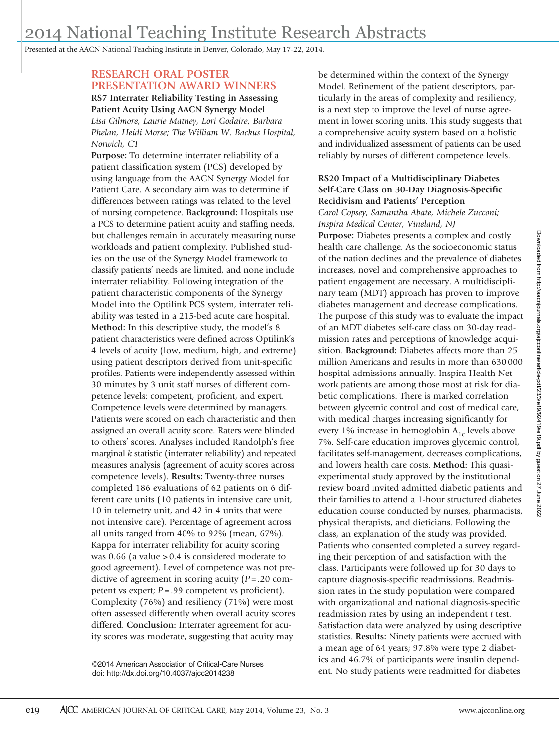Presented at the AACN National Teaching Institute in Denver, Colorado, May 17-22, 2014.

# **RESEARCH ORAL POSTER PRESENTATION AWARD WINNERS**

**RS7 Interrater Reliability Testing in Assessing Patient Acuity Using AACN Synergy Model** *Lisa Gilmore, Laurie Matney, Lori Godaire, Barbara Phelan, Heidi Morse; The William W. Backus Hospital, Norwich, CT*

**Purpose:** To determine interrater reliability of a patient classification system (PCS) developed by using language from the AACN Synergy Model for Patient Care. A secondary aim was to determine if differences between ratings was related to the level of nursing competence. **Background:** Hospitals use a PCS to determine patient acuity and staffing needs, but challenges remain in accurately measuring nurse workloads and patient complexity. Published studies on the use of the Synergy Model framework to classify patients' needs are limited, and none include interrater reliability. Following integration of the patient characteristic components of the Synergy Model into the Optilink PCS system, interrater reliability was tested in a 215-bed acute care hospital. **Method:** In this descriptive study, the model's 8 patient characteristics were defined across Optilink's 4 levels of acuity (low, medium, high, and extreme) using patient descriptors derived from unit-specific profiles. Patients were independently assessed within 30 minutes by 3 unit staff nurses of different competence levels: competent, proficient, and expert. Competence levels were determined by managers. Patients were scored on each characteristic and then assigned an overall acuity score. Raters were blinded to others' scores. Analyses included Randolph's free marginal *k* statistic (interrater reliability) and repeated measures analysis (agreement of acuity scores across competence levels). **Results:** Twenty-three nurses completed 186 evaluations of 62 patients on 6 different care units (10 patients in intensive care unit, 10 in telemetry unit, and 42 in 4 units that were not intensive care). Percentage of agreement across all units ranged from 40% to 92% (mean, 67%). Kappa for interrater reliability for acuity scoring was 0.66 (a value > 0.4 is considered moderate to good agreement). Level of competence was not predictive of agreement in scoring acuity  $(P = .20 \text{ com-}$ petent vs expert;  $P = .99$  competent vs proficient). Complexity (76%) and resiliency (71%) were most often assessed differently when overall acuity scores differed. **Conclusion:** Interrater agreement for acuity scores was moderate, suggesting that acuity may

©2014 American Association of Critical-Care Nurses doi: http://dx.doi.org/10.4037/ajcc2014238

be determined within the context of the Synergy Model. Refinement of the patient descriptors, particularly in the areas of complexity and resiliency, is a next step to improve the level of nurse agreement in lower scoring units. This study suggests that a comprehensive acuity system based on a holistic and individualized assessment of patients can be used reliably by nurses of different competence levels.

# **RS20 Impact of a Multidisciplinary Diabetes Self-Care Class on 30-Day Diagnosis-Specific Recidivism and Patients' Perception**

*Carol Copsey, Samantha Abate, Michele Zucconi; Inspira Medical Center, Vineland, NJ*

**Purpose:** Diabetes presents a complex and costly health care challenge. As the socioeconomic status of the nation declines and the prevalence of diabetes increases, novel and comprehensive approaches to patient engagement are necessary. A multidisciplinary team (MDT) approach has proven to improve diabetes management and decrease complications. The purpose of this study was to evaluate the impact of an MDT diabetes self-care class on 30-day readmission rates and perceptions of knowledge acquisition. **Background:** Diabetes affects more than 25 million Americans and results in more than 630 000 hospital admissions annually. Inspira Health Network patients are among those most at risk for diabetic complications. There is marked correlation between glycemic control and cost of medical care, with medical charges increasing significantly for every 1% increase in hemoglobin  $A_{1c}$  levels above 7%. Self-care education improves glycemic control, facilitates self-management, decreases complications, and lowers health care costs. **Method:** This quasiexperimental study approved by the institutional review board invited admitted diabetic patients and their families to attend a 1-hour structured diabetes education course conducted by nurses, pharmacists, physical therapists, and dieticians. Following the class, an explanation of the study was provided. Patients who consented completed a survey regarding their perception of and satisfaction with the class. Participants were followed up for 30 days to capture diagnosis-specific readmissions. Readmission rates in the study population were compared with organizational and national diagnosis-specific readmission rates by using an independent *t* test. Satisfaction data were analyzed by using descriptive statistics. **Results:** Ninety patients were accrued with a mean age of 64 years; 97.8% were type 2 diabetics and 46.7% of participants were insulin dependent. No study patients were readmitted for diabetes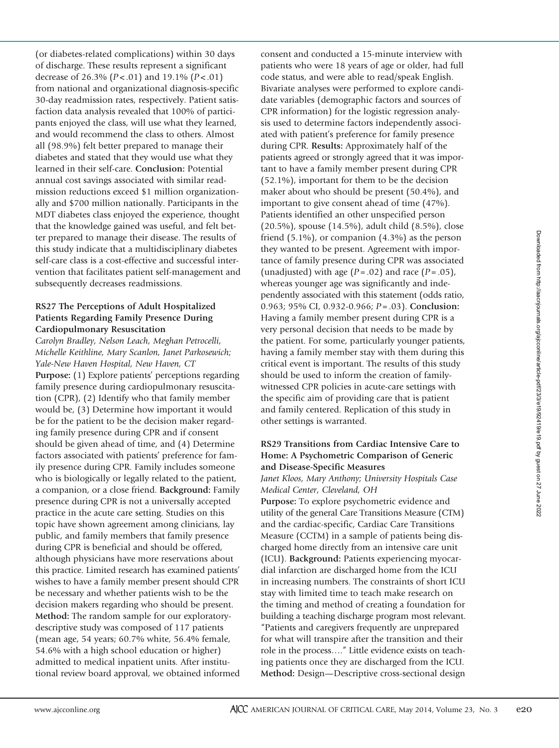(or diabetes-related complications) within 30 days of discharge. These results represent a significant decrease of 26.3% (*P* < .01) and 19.1% (*P* < .01) from national and organizational diagnosis-specific 30-day readmission rates, respectively. Patient satisfaction data analysis revealed that 100% of participants enjoyed the class, will use what they learned, and would recommend the class to others. Almost all (98.9%) felt better prepared to manage their diabetes and stated that they would use what they learned in their self-care. **Conclusion:** Potential annual cost savings associated with similar readmission reductions exceed \$1 million organizationally and \$700 million nationally. Participants in the MDT diabetes class enjoyed the experience, thought that the knowledge gained was useful, and felt better prepared to manage their disease. The results of this study indicate that a multidisciplinary diabetes self-care class is a cost-effective and successful intervention that facilitates patient self-management and subsequently decreases readmissions.

#### **RS27 The Perceptions of Adult Hospitalized Patients Regarding Family Presence During Cardiopulmonary Resuscitation**

*Carolyn Bradley, Nelson Leach, Meghan Petrocelli, Michelle Keithline, Mary Scanlon, Janet Parkosewich; Yale-New Haven Hospital, New Haven, CT* **Purpose:** (1) Explore patients' perceptions regarding family presence during cardiopulmonary resuscitation (CPR), (2) Identify who that family member would be, (3) Determine how important it would be for the patient to be the decision maker regarding family presence during CPR and if consent should be given ahead of time, and (4) Determine factors associated with patients' preference for family presence during CPR. Family includes someone who is biologically or legally related to the patient, a companion, or a close friend. **Background:** Family presence during CPR is not a universally accepted practice in the acute care setting. Studies on this topic have shown agreement among clinicians, lay public, and family members that family presence during CPR is beneficial and should be offered, although physicians have more reservations about this practice. Limited research has examined patients' wishes to have a family member present should CPR be necessary and whether patients wish to be the decision makers regarding who should be present. **Method:** The random sample for our exploratorydescriptive study was composed of 117 patients (mean age, 54 years; 60.7% white, 56.4% female, 54.6% with a high school education or higher) admitted to medical inpatient units. After institutional review board approval, we obtained informed

consent and conducted a 15-minute interview with patients who were 18 years of age or older, had full code status, and were able to read/speak English. Bivariate analyses were performed to explore candidate variables (demographic factors and sources of CPR information) for the logistic regression analysis used to determine factors independently associated with patient's preference for family presence during CPR. **Results:** Approximately half of the patients agreed or strongly agreed that it was important to have a family member present during CPR (52.1%), important for them to be the decision maker about who should be present (50.4%), and important to give consent ahead of time (47%). Patients identified an other unspecified person (20.5%), spouse (14.5%), adult child (8.5%), close friend (5.1%), or companion (4.3%) as the person they wanted to be present. Agreement with importance of family presence during CPR was associated (unadjusted) with age  $(P=.02)$  and race  $(P=.05)$ , whereas younger age was significantly and independently associated with this statement (odds ratio, 0.963; 95% CI, 0.932-0.966; *P* = .03). **Conclusion:** Having a family member present during CPR is a very personal decision that needs to be made by the patient. For some, particularly younger patients, having a family member stay with them during this critical event is important. The results of this study should be used to inform the creation of familywitnessed CPR policies in acute-care settings with the specific aim of providing care that is patient and family centered. Replication of this study in other settings is warranted.

## **RS29 Transitions from Cardiac Intensive Care to Home: A Psychometric Comparison of Generic and Disease-Specific Measures**

*Janet Kloos, Mary Anthony; University Hospitals Case Medical Center, Cleveland, OH*

**Purpose:** To explore psychometric evidence and utility of the general Care Transitions Measure (CTM) and the cardiac-specific, Cardiac Care Transitions Measure (CCTM) in a sample of patients being discharged home directly from an intensive care unit (ICU). **Background:** Patients experiencing myocardial infarction are discharged home from the ICU in increasing numbers. The constraints of short ICU stay with limited time to teach make research on the timing and method of creating a foundation for building a teaching discharge program most relevant. "Patients and caregivers frequently are unprepared for what will transpire after the transition and their role in the process…." Little evidence exists on teaching patients once they are discharged from the ICU. **Method:** Design—Descriptive cross-sectional design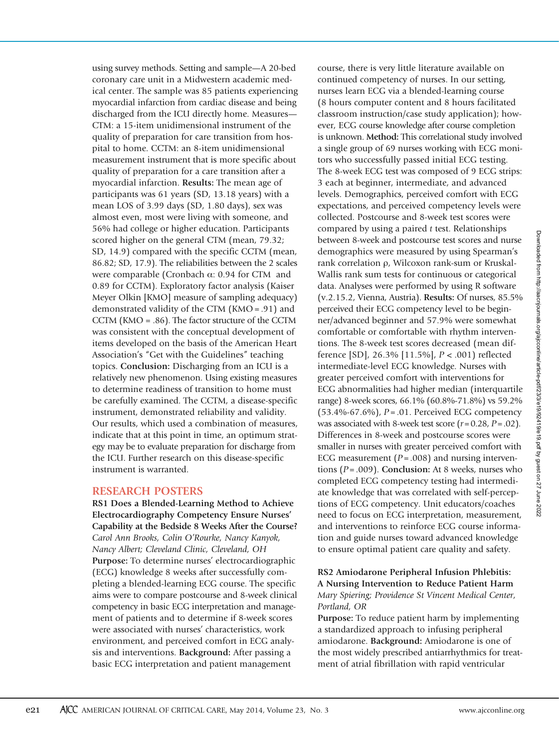using survey methods. Setting and sample—A 20-bed coronary care unit in a Midwestern academic medical center. The sample was 85 patients experiencing myocardial infarction from cardiac disease and being discharged from the ICU directly home. Measures— CTM: a 15-item unidimensional instrument of the quality of preparation for care transition from hospital to home. CCTM: an 8-item unidimensional measurement instrument that is more specific about quality of preparation for a care transition after a myocardial infarction. **Results:** The mean age of participants was 61 years (SD, 13.18 years) with a mean LOS of 3.99 days (SD, 1.80 days), sex was almost even, most were living with someone, and 56% had college or higher education. Participants scored higher on the general CTM (mean, 79.32; SD, 14.9) compared with the specific CCTM (mean, 86.82; SD, 17.9). The reliabilities between the 2 scales were comparable (Cronbach  $\alpha$ : 0.94 for CTM and 0.89 for CCTM). Exploratory factor analysis (Kaiser Meyer Olkin [KMO] measure of sampling adequacy) demonstrated validity of the CTM (KMO = .91) and CCTM (KMO = .86). The factor structure of the CCTM was consistent with the conceptual development of items developed on the basis of the American Heart Association's "Get with the Guidelines" teaching topics. **Conclusion:** Discharging from an ICU is a relatively new phenomenon. Using existing measures to determine readiness of transition to home must be carefully examined. The CCTM, a disease-specific instrument, demonstrated reliability and validity. Our results, which used a combination of measures, indicate that at this point in time, an optimum strategy may be to evaluate preparation for discharge from the ICU. Further research on this disease-specific instrument is warranted.

#### **RESEARCH POSTERS**

**RS1 Does a Blended-Learning Method to Achieve Electrocardiography Competency Ensure Nurses' Capability at the Bedside 8 Weeks After the Course?** *Carol Ann Brooks, Colin O'Rourke, Nancy Kanyok, Nancy Albert; Cleveland Clinic, Cleveland, OH* **Purpose:** To determine nurses' electrocardiographic (ECG) knowledge 8 weeks after successfully completing a blended-learning ECG course. The specific aims were to compare postcourse and 8-week clinical competency in basic ECG interpretation and management of patients and to determine if 8-week scores were associated with nurses' characteristics, work environment, and perceived comfort in ECG analysis and interventions. **Background:** After passing a basic ECG interpretation and patient management

course, there is very little literature available on continued competency of nurses. In our setting, nurses learn ECG via a blended-learning course (8 hours computer content and 8 hours facilitated classroom instruction/case study application); however, ECG course knowledge after course completion is unknown. **Method:** This correlational study involved a single group of 69 nurses working with ECG monitors who successfully passed initial ECG testing. The 8-week ECG test was composed of 9 ECG strips: 3 each at beginner, intermediate, and advanced levels. Demographics, perceived comfort with ECG expectations, and perceived competency levels were collected. Postcourse and 8-week test scores were compared by using a paired *t* test. Relationships between 8-week and postcourse test scores and nurse demographics were measured by using Spearman's rank correlation ρ, Wilcoxon rank-sum or Kruskal-Wallis rank sum tests for continuous or categorical data. Analyses were performed by using R software (v.2.15.2, Vienna, Austria). **Results:** Of nurses, 85.5% perceived their ECG competency level to be beginner/advanced beginner and 57.9% were somewhat comfortable or comfortable with rhythm interventions. The 8-week test scores decreased (mean difference [SD], 26.3% [11.5%], *P* < .001) reflected intermediate-level ECG knowledge. Nurses with greater perceived comfort with interventions for ECG abnormalities had higher median (interquartile range) 8-week scores, 66.1% (60.8%-71.8%) vs 59.2% (53.4%-67.6%), *P* = .01. Perceived ECG competency was associated with 8-week test score (*r*=0.28, *P*=.02). Differences in 8-week and postcourse scores were smaller in nurses with greater perceived comfort with ECG measurement  $(P=.008)$  and nursing interventions (*P* = .009). **Conclusion:** At 8 weeks, nurses who completed ECG competency testing had intermediate knowledge that was correlated with self-perceptions of ECG competency. Unit educators/coaches need to focus on ECG interpretation, measurement, and interventions to reinforce ECG course information and guide nurses toward advanced knowledge to ensure optimal patient care quality and safety.

## **RS2 Amiodarone Peripheral Infusion Phlebitis: A Nursing Intervention to Reduce Patient Harm** *Mary Spiering; Providence St Vincent Medical Center, Portland, OR*

**Purpose:** To reduce patient harm by implementing a standardized approach to infusing peripheral amiodarone. **Background:** Amiodarone is one of the most widely prescribed antiarrhythmics for treatment of atrial fibrillation with rapid ventricular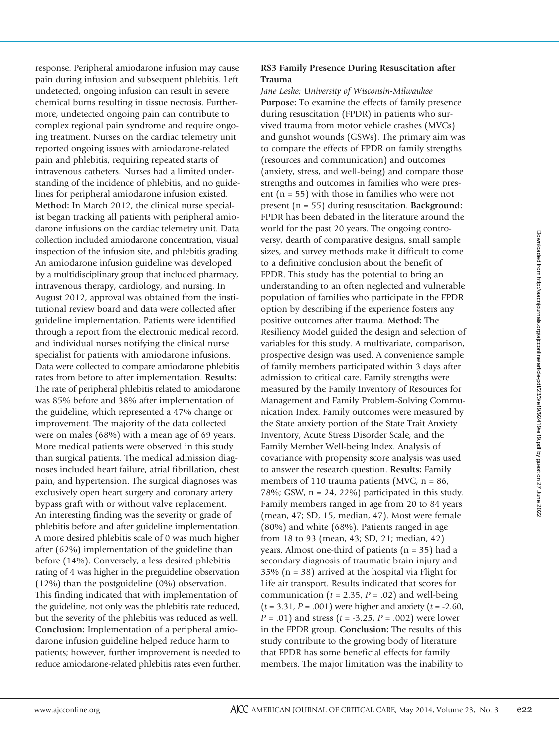response. Peripheral amiodarone infusion may cause pain during infusion and subsequent phlebitis. Left undetected, ongoing infusion can result in severe chemical burns resulting in tissue necrosis. Furthermore, undetected ongoing pain can contribute to complex regional pain syndrome and require ongoing treatment. Nurses on the cardiac telemetry unit reported ongoing issues with amiodarone-related pain and phlebitis, requiring repeated starts of intravenous catheters. Nurses had a limited understanding of the incidence of phlebitis, and no guidelines for peripheral amiodarone infusion existed. **Method:** In March 2012, the clinical nurse specialist began tracking all patients with peripheral amiodarone infusions on the cardiac telemetry unit. Data collection included amiodarone concentration, visual inspection of the infusion site, and phlebitis grading. An amiodarone infusion guideline was developed by a multidisciplinary group that included pharmacy, intravenous therapy, cardiology, and nursing. In August 2012, approval was obtained from the institutional review board and data were collected after guideline implementation. Patients were identified through a report from the electronic medical record, and individual nurses notifying the clinical nurse specialist for patients with amiodarone infusions. Data were collected to compare amiodarone phlebitis rates from before to after implementation. **Results:** The rate of peripheral phlebitis related to amiodarone was 85% before and 38% after implementation of the guideline, which represented a 47% change or improvement. The majority of the data collected were on males (68%) with a mean age of 69 years. More medical patients were observed in this study than surgical patients. The medical admission diagnoses included heart failure, atrial fibrillation, chest pain, and hypertension. The surgical diagnoses was exclusively open heart surgery and coronary artery bypass graft with or without valve replacement. An interesting finding was the severity or grade of phlebitis before and after guideline implementation. A more desired phlebitis scale of 0 was much higher after (62%) implementation of the guideline than before (14%). Conversely, a less desired phlebitis rating of 4 was higher in the preguideline observation (12%) than the postguideline (0%) observation. This finding indicated that with implementation of the guideline, not only was the phlebitis rate reduced, but the severity of the phlebitis was reduced as well. **Conclusion:** Implementation of a peripheral amiodarone infusion guideline helped reduce harm to patients; however, further improvement is needed to reduce amiodarone-related phlebitis rates even further.

## **RS3 Family Presence During Resuscitation after Trauma**

*Jane Leske; University of Wisconsin-Milwaukee* **Purpose:** To examine the effects of family presence during resuscitation (FPDR) in patients who survived trauma from motor vehicle crashes (MVCs) and gunshot wounds (GSWs). The primary aim was to compare the effects of FPDR on family strengths (resources and communication) and outcomes (anxiety, stress, and well-being) and compare those strengths and outcomes in families who were present  $(n = 55)$  with those in families who were not present (n = 55) during resuscitation. **Background:** FPDR has been debated in the literature around the world for the past 20 years. The ongoing controversy, dearth of comparative designs, small sample sizes, and survey methods make it difficult to come to a definitive conclusion about the benefit of FPDR. This study has the potential to bring an understanding to an often neglected and vulnerable population of families who participate in the FPDR option by describing if the experience fosters any positive outcomes after trauma. **Method:** The Resiliency Model guided the design and selection of variables for this study. A multivariate, comparison, prospective design was used. A convenience sample of family members participated within 3 days after admission to critical care. Family strengths were measured by the Family Inventory of Resources for Management and Family Problem-Solving Communication Index. Family outcomes were measured by the State anxiety portion of the State Trait Anxiety Inventory, Acute Stress Disorder Scale, and the Family Member Well-being Index. Analysis of covariance with propensity score analysis was used to answer the research question. **Results:** Family members of 110 trauma patients (MVC,  $n = 86$ , 78%; GSW,  $n = 24$ , 22%) participated in this study. Family members ranged in age from 20 to 84 years (mean, 47; SD, 15, median, 47). Most were female (80%) and white (68%). Patients ranged in age from 18 to 93 (mean, 43; SD, 21; median, 42) years. Almost one-third of patients  $(n = 35)$  had a secondary diagnosis of traumatic brain injury and  $35\%$  (n = 38) arrived at the hospital via Flight for Life air transport. Results indicated that scores for communication ( $t = 2.35$ ,  $P = .02$ ) and well-being (*t* = 3.31, *P* = .001) were higher and anxiety (*t* = -2.60, *P* = .01) and stress (*t* = -3.25, *P* = .002) were lower in the FPDR group. **Conclusion:** The results of this study contribute to the growing body of literature that FPDR has some beneficial effects for family members. The major limitation was the inability to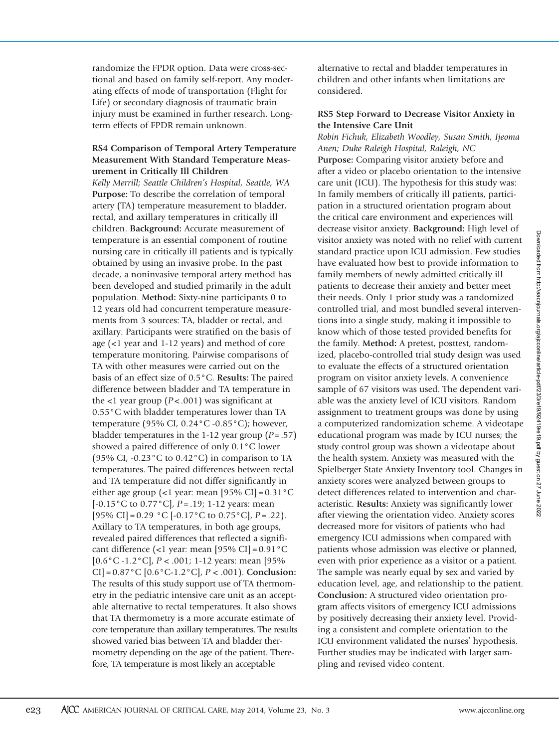randomize the FPDR option. Data were cross-sectional and based on family self-report. Any moderating effects of mode of transportation (Flight for Life) or secondary diagnosis of traumatic brain injury must be examined in further research. Longterm effects of FPDR remain unknown.

## **RS4 Comparison of Temporal Artery Temperature Measurement With Standard Temperature Measurement in Critically Ill Children**

*Kelly Merrill; Seattle Children's Hospital, Seattle, WA* **Purpose:** To describe the correlation of temporal artery (TA) temperature measurement to bladder, rectal, and axillary temperatures in critically ill children. **Background:** Accurate measurement of temperature is an essential component of routine nursing care in critically ill patients and is typically obtained by using an invasive probe. In the past decade, a noninvasive temporal artery method has been developed and studied primarily in the adult population. **Method:** Sixty-nine participants 0 to 12 years old had concurrent temperature measurements from 3 sources: TA, bladder or rectal, and axillary. Participants were stratified on the basis of age (<1 year and 1-12 years) and method of core temperature monitoring. Pairwise comparisons of TA with other measures were carried out on the basis of an effect size of 0.5°C. **Results:** The paired difference between bladder and TA temperature in the  $\langle 1 \rangle$  year group (*P* < .001) was significant at 0.55°C with bladder temperatures lower than TA temperature (95% CI, 0.24 $\degree$ C -0.85 $\degree$ C); however, bladder temperatures in the 1-12 year group  $(P = .57)$ showed a paired difference of only 0.1°C lower (95% CI, -0.23 $\degree$ C to 0.42 $\degree$ C) in comparison to TA temperatures. The paired differences between rectal and TA temperature did not differ significantly in either age group (<1 year: mean [95% CI] =  $0.31^{\circ}$ C [-0.15°C to 0.77°C], *P* = .19; 1-12 years: mean [95% CI] = 0.29 °C [-0.17°C to 0.75°C], *P* = .22). Axillary to TA temperatures, in both age groups, revealed paired differences that reflected a significant difference (<1 year: mean [95% CI] =  $0.91^{\circ}$ C [0.6°C -1.2°C], *P* < .001; 1-12 years: mean [95% CI] = 0.87°C [0.6°C-1.2°C], *P* < .001). **Conclusion:** The results of this study support use of TA thermometry in the pediatric intensive care unit as an acceptable alternative to rectal temperatures. It also shows that TA thermometry is a more accurate estimate of core temperature than axillary temperatures. The results showed varied bias between TA and bladder thermometry depending on the age of the patient. Therefore, TA temperature is most likely an acceptable

alternative to rectal and bladder temperatures in children and other infants when limitations are considered.

#### **RS5 Step Forward to Decrease Visitor Anxiety in the Intensive Care Unit**

*Robin Fichuk, Elizabeth Woodley, Susan Smith, Ijeoma Anen; Duke Raleigh Hospital, Raleigh, NC* **Purpose:** Comparing visitor anxiety before and after a video or placebo orientation to the intensive care unit (ICU). The hypothesis for this study was: In family members of critically ill patients, participation in a structured orientation program about the critical care environment and experiences will decrease visitor anxiety. **Background:** High level of visitor anxiety was noted with no relief with current standard practice upon ICU admission. Few studies have evaluated how best to provide information to family members of newly admitted critically ill patients to decrease their anxiety and better meet their needs. Only 1 prior study was a randomized controlled trial, and most bundled several interventions into a single study, making it impossible to know which of those tested provided benefits for the family. **Method:** A pretest, posttest, randomized, placebo-controlled trial study design was used to evaluate the effects of a structured orientation program on visitor anxiety levels. A convenience sample of 67 visitors was used. The dependent variable was the anxiety level of ICU visitors. Random assignment to treatment groups was done by using a computerized randomization scheme. A videotape educational program was made by ICU nurses; the study control group was shown a videotape about the health system. Anxiety was measured with the Spielberger State Anxiety Inventory tool. Changes in anxiety scores were analyzed between groups to detect differences related to intervention and characteristic. **Results:** Anxiety was significantly lower after viewing the orientation video. Anxiety scores decreased more for visitors of patients who had emergency ICU admissions when compared with patients whose admission was elective or planned, even with prior experience as a visitor or a patient. The sample was nearly equal by sex and varied by education level, age, and relationship to the patient. **Conclusion:** A structured video orientation program affects visitors of emergency ICU admissions by positively decreasing their anxiety level. Providing a consistent and complete orientation to the ICU environment validated the nurses' hypothesis. Further studies may be indicated with larger sampling and revised video content.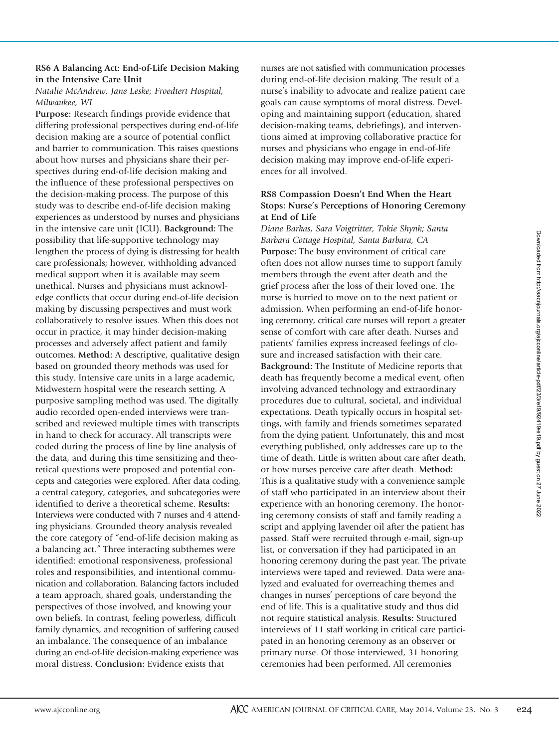## **RS6 A Balancing Act: End-of-Life Decision Making in the Intensive Care Unit**

*Natalie McAndrew, Jane Leske; Froedtert Hospital, Milwaukee, WI*

**Purpose:** Research findings provide evidence that differing professional perspectives during end-of-life decision making are a source of potential conflict and barrier to communication. This raises questions about how nurses and physicians share their perspectives during end-of-life decision making and the influence of these professional perspectives on the decision-making process. The purpose of this study was to describe end-of-life decision making experiences as understood by nurses and physicians in the intensive care unit (ICU). **Background:** The possibility that life-supportive technology may lengthen the process of dying is distressing for health care professionals; however, withholding advanced medical support when it is available may seem unethical. Nurses and physicians must acknowledge conflicts that occur during end-of-life decision making by discussing perspectives and must work collaboratively to resolve issues. When this does not occur in practice, it may hinder decision-making processes and adversely affect patient and family outcomes. **Method:** A descriptive, qualitative design based on grounded theory methods was used for this study. Intensive care units in a large academic, Midwestern hospital were the research setting. A purposive sampling method was used. The digitally audio recorded open-ended interviews were transcribed and reviewed multiple times with transcripts in hand to check for accuracy. All transcripts were coded during the process of line by line analysis of the data, and during this time sensitizing and theoretical questions were proposed and potential concepts and categories were explored. After data coding, a central category, categories, and subcategories were identified to derive a theoretical scheme. **Results:** Interviews were conducted with 7 nurses and 4 attending physicians. Grounded theory analysis revealed the core category of "end-of-life decision making as a balancing act." Three interacting subthemes were identified: emotional responsiveness, professional roles and responsibilities, and intentional communication and collaboration. Balancing factors included a team approach, shared goals, understanding the perspectives of those involved, and knowing your own beliefs. In contrast, feeling powerless, difficult family dynamics, and recognition of suffering caused an imbalance. The consequence of an imbalance during an end-of-life decision-making experience was moral distress. **Conclusion:** Evidence exists that

nurses are not satisfied with communication processes during end-of-life decision making. The result of a nurse's inability to advocate and realize patient care goals can cause symptoms of moral distress. Developing and maintaining support (education, shared decision-making teams, debriefings), and interventions aimed at improving collaborative practice for nurses and physicians who engage in end-of-life decision making may improve end-of-life experiences for all involved.

## **RS8 Compassion Doesn't End When the Heart Stops: Nurse's Perceptions of Honoring Ceremony at End of Life**

*Diane Barkas, Sara Voigtritter, Tokie Shynk; Santa Barbara Cottage Hospital, Santa Barbara, CA* **Purpose:** The busy environment of critical care often does not allow nurses time to support family members through the event after death and the grief process after the loss of their loved one. The nurse is hurried to move on to the next patient or admission. When performing an end-of-life honoring ceremony, critical care nurses will report a greater sense of comfort with care after death. Nurses and patients' families express increased feelings of closure and increased satisfaction with their care. **Background:** The Institute of Medicine reports that death has frequently become a medical event, often involving advanced technology and extraordinary procedures due to cultural, societal, and individual expectations. Death typically occurs in hospital settings, with family and friends sometimes separated from the dying patient. Unfortunately, this and most everything published, only addresses care up to the time of death. Little is written about care after death, or how nurses perceive care after death. **Method:** This is a qualitative study with a convenience sample of staff who participated in an interview about their experience with an honoring ceremony. The honoring ceremony consists of staff and family reading a script and applying lavender oil after the patient has passed. Staff were recruited through e-mail, sign-up list, or conversation if they had participated in an honoring ceremony during the past year. The private interviews were taped and reviewed. Data were analyzed and evaluated for overreaching themes and changes in nurses' perceptions of care beyond the end of life. This is a qualitative study and thus did not require statistical analysis. **Results:** Structured interviews of 11 staff working in critical care participated in an honoring ceremony as an observer or primary nurse. Of those interviewed, 31 honoring ceremonies had been performed. All ceremonies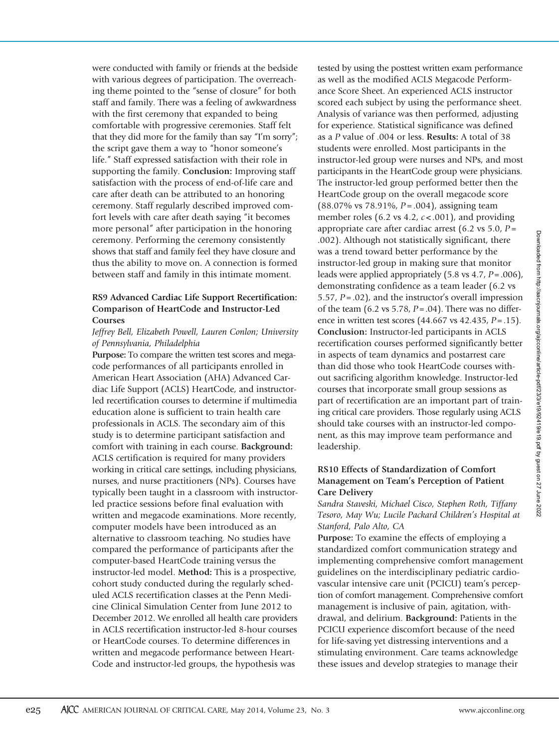were conducted with family or friends at the bedside with various degrees of participation. The overreaching theme pointed to the "sense of closure" for both staff and family. There was a feeling of awkwardness with the first ceremony that expanded to being comfortable with progressive ceremonies. Staff felt that they did more for the family than say "I'm sorry"; the script gave them a way to "honor someone's life." Staff expressed satisfaction with their role in supporting the family. **Conclusion:** Improving staff satisfaction with the process of end-of-life care and care after death can be attributed to an honoring ceremony. Staff regularly described improved comfort levels with care after death saying "it becomes more personal" after participation in the honoring ceremony. Performing the ceremony consistently shows that staff and family feel they have closure and thus the ability to move on. A connection is formed between staff and family in this intimate moment.

## **RS9 Advanced Cardiac Life Support Recertification: Comparison of HeartCode and Instructor-Led Courses**

#### *Jeffrey Bell, Elizabeth Powell, Lauren Conlon; University of Pennsylvania, Philadelphia*

**Purpose:** To compare the written test scores and megacode performances of all participants enrolled in American Heart Association (AHA) Advanced Cardiac Life Support (ACLS) HeartCode, and instructorled recertification courses to determine if multimedia education alone is sufficient to train health care professionals in ACLS. The secondary aim of this study is to determine participant satisfaction and comfort with training in each course. **Background:** ACLS certification is required for many providers working in critical care settings, including physicians, nurses, and nurse practitioners (NPs). Courses have typically been taught in a classroom with instructorled practice sessions before final evaluation with written and megacode examinations. More recently, computer models have been introduced as an alternative to classroom teaching. No studies have compared the performance of participants after the computer-based HeartCode training versus the instructor-led model. **Method:** This is a prospective, cohort study conducted during the regularly scheduled ACLS recertification classes at the Penn Medicine Clinical Simulation Center from June 2012 to December 2012. We enrolled all health care providers in ACLS recertification instructor-led 8-hour courses or HeartCode courses. To determine differences in written and megacode performance between Heart-Code and instructor-led groups, the hypothesis was

tested by using the posttest written exam performance as well as the modified ACLS Megacode Performance Score Sheet. An experienced ACLS instructor scored each subject by using the performance sheet. Analysis of variance was then performed, adjusting for experience. Statistical significance was defined as a *P* value of .004 or less. **Results:** A total of 38 students were enrolled. Most participants in the instructor-led group were nurses and NPs, and most participants in the HeartCode group were physicians. The instructor-led group performed better then the HeartCode group on the overall megacode score (88.07% vs 78.91%, *P* = .004), assigning team member roles (6.2 vs  $4.2$ ,  $c < .001$ ), and providing appropriate care after cardiac arrest (6.2 vs 5.0, *P* = .002). Although not statistically significant, there was a trend toward better performance by the instructor-led group in making sure that monitor leads were applied appropriately (5.8 vs 4.7, *P*=.006), demonstrating confidence as a team leader (6.2 vs 5.57, *P* = .02), and the instructor's overall impression of the team (6.2 vs 5.78, *P*=.04). There was no difference in written test scores (44.667 vs 42.435, *P*=.15). **Conclusion:** Instructor-led participants in ACLS recertification courses performed significantly better in aspects of team dynamics and postarrest care than did those who took HeartCode courses without sacrificing algorithm knowledge. Instructor-led courses that incorporate small group sessions as part of recertification are an important part of training critical care providers. Those regularly using ACLS should take courses with an instructor-led component, as this may improve team performance and leadership.

## **RS10 Effects of Standardization of Comfort Management on Team's Perception of Patient Care Delivery**

*Sandra Staveski, Michael Cisco, Stephen Roth, Tiffany Tesoro, May Wu; Lucile Packard Children's Hospital at Stanford, Palo Alto, CA*

**Purpose:** To examine the effects of employing a standardized comfort communication strategy and implementing comprehensive comfort management guidelines on the interdisciplinary pediatric cardiovascular intensive care unit (PCICU) team's perception of comfort management. Comprehensive comfort management is inclusive of pain, agitation, withdrawal, and delirium. **Background:** Patients in the PCICU experience discomfort because of the need for life-saving yet distressing interventions and a stimulating environment. Care teams acknowledge these issues and develop strategies to manage their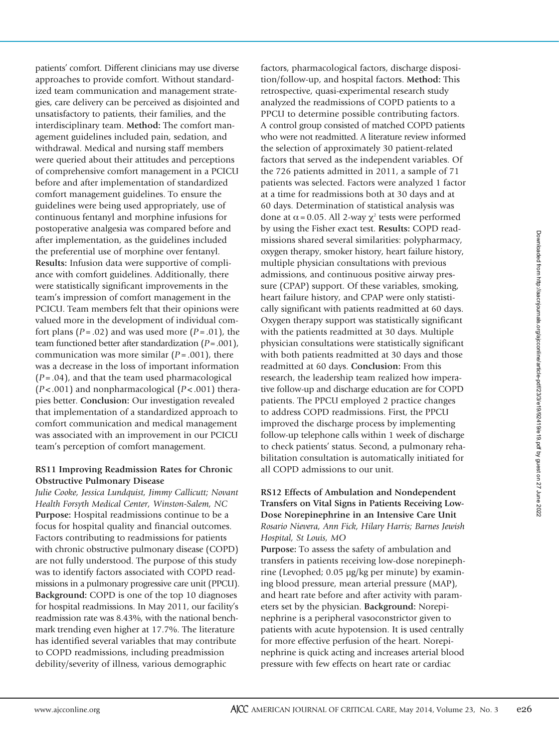patients' comfort. Different clinicians may use diverse approaches to provide comfort. Without standardized team communication and management strategies, care delivery can be perceived as disjointed and unsatisfactory to patients, their families, and the interdisciplinary team. **Method:** The comfort management guidelines included pain, sedation, and withdrawal. Medical and nursing staff members were queried about their attitudes and perceptions of comprehensive comfort management in a PCICU before and after implementation of standardized comfort management guidelines. To ensure the guidelines were being used appropriately, use of continuous fentanyl and morphine infusions for postoperative analgesia was compared before and after implementation, as the guidelines included the preferential use of morphine over fentanyl. **Results:** Infusion data were supportive of compliance with comfort guidelines. Additionally, there were statistically significant improvements in the team's impression of comfort management in the PCICU. Team members felt that their opinions were valued more in the development of individual comfort plans  $(P=.02)$  and was used more  $(P=.01)$ , the team functioned better after standardization (*P*=.001), communication was more similar  $(P = .001)$ , there was a decrease in the loss of important information (*P* = .04), and that the team used pharmacological (*P* < .001) and nonpharmacological (*P* < .001) therapies better. **Conclusion:** Our investigation revealed that implementation of a standardized approach to comfort communication and medical management was associated with an improvement in our PCICU team's perception of comfort management.

## **RS11 Improving Readmission Rates for Chronic Obstructive Pulmonary Disease**

*Julie Cooke, Jessica Lundquist, Jimmy Callicutt; Novant Health Forsyth Medical Center, Winston-Salem, NC* **Purpose:** Hospital readmissions continue to be a focus for hospital quality and financial outcomes. Factors contributing to readmissions for patients with chronic obstructive pulmonary disease (COPD) are not fully understood. The purpose of this study was to identify factors associated with COPD readmissions in a pulmonary progressive care unit (PPCU). **Background:** COPD is one of the top 10 diagnoses for hospital readmissions. In May 2011, our facility's readmission rate was 8.43%, with the national benchmark trending even higher at 17.7%. The literature has identified several variables that may contribute to COPD readmissions, including preadmission debility/severity of illness, various demographic

factors, pharmacological factors, discharge disposition/follow-up, and hospital factors. **Method:** This retrospective, quasi-experimental research study analyzed the readmissions of COPD patients to a PPCU to determine possible contributing factors. A control group consisted of matched COPD patients who were not readmitted. A literature review informed the selection of approximately 30 patient-related factors that served as the independent variables. Of the 726 patients admitted in 2011, a sample of 71 patients was selected. Factors were analyzed 1 factor at a time for readmissions both at 30 days and at 60 days. Determination of statistical analysis was done at  $\alpha$  = 0.05. All 2-way  $\chi^2$  tests were performed by using the Fisher exact test. **Results:** COPD readmissions shared several similarities: polypharmacy, oxygen therapy, smoker history, heart failure history, multiple physician consultations with previous admissions, and continuous positive airway pressure (CPAP) support. Of these variables, smoking, heart failure history, and CPAP were only statistically significant with patients readmitted at 60 days. Oxygen therapy support was statistically significant with the patients readmitted at 30 days. Multiple physician consultations were statistically significant with both patients readmitted at 30 days and those readmitted at 60 days. **Conclusion:** From this research, the leadership team realized how imperative follow-up and discharge education are for COPD patients. The PPCU employed 2 practice changes to address COPD readmissions. First, the PPCU improved the discharge process by implementing follow-up telephone calls within 1 week of discharge to check patients' status. Second, a pulmonary rehabilitation consultation is automatically initiated for all COPD admissions to our unit.

## **RS12 Effects of Ambulation and Nondependent Transfers on Vital Signs in Patients Receiving Low-Dose Norepinephrine in an Intensive Care Unit** *Rosario Nievera, Ann Fick, Hilary Harris; Barnes Jewish Hospital, St Louis, MO*

**Purpose:** To assess the safety of ambulation and transfers in patients receiving low-dose norepinephrine (Levophed; 0.05 μg/kg per minute) by examining blood pressure, mean arterial pressure (MAP), and heart rate before and after activity with parameters set by the physician. **Background:** Norepinephrine is a peripheral vasoconstrictor given to patients with acute hypotension. It is used centrally for more effective perfusion of the heart. Norepinephrine is quick acting and increases arterial blood pressure with few effects on heart rate or cardiac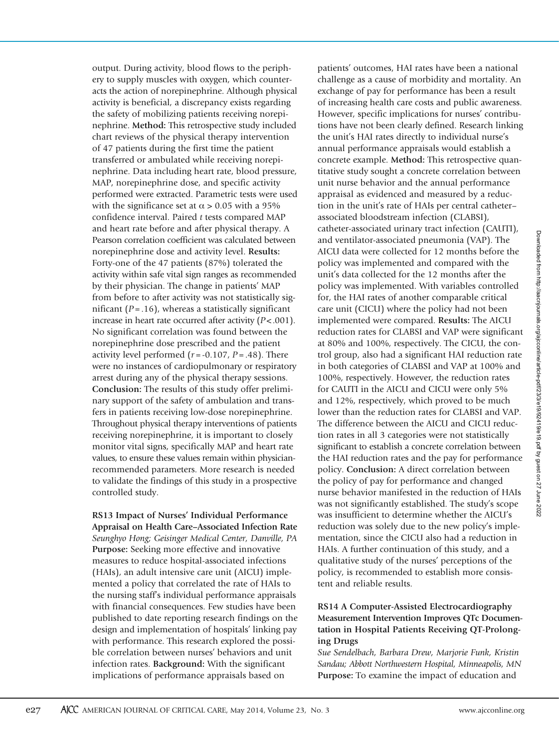output. During activity, blood flows to the periphery to supply muscles with oxygen, which counteracts the action of norepinephrine. Although physical activity is beneficial, a discrepancy exists regarding the safety of mobilizing patients receiving norepinephrine. **Method:** This retrospective study included chart reviews of the physical therapy intervention of 47 patients during the first time the patient transferred or ambulated while receiving norepinephrine. Data including heart rate, blood pressure, MAP, norepinephrine dose, and specific activity performed were extracted. Parametric tests were used with the significance set at  $\alpha > 0.05$  with a 95% confidence interval. Paired *t* tests compared MAP and heart rate before and after physical therapy. A Pearson correlation coefficient was calculated between norepinephrine dose and activity level. **Results:** Forty-one of the 47 patients (87%) tolerated the activity within safe vital sign ranges as recommended by their physician. The change in patients' MAP from before to after activity was not statistically significant  $(P = .16)$ , whereas a statistically significant increase in heart rate occurred after activity (*P*<.001). No significant correlation was found between the norepinephrine dose prescribed and the patient activity level performed  $(r = -0.107, P = .48)$ . There were no instances of cardiopulmonary or respiratory arrest during any of the physical therapy sessions. **Conclusion:** The results of this study offer preliminary support of the safety of ambulation and transfers in patients receiving low-dose norepinephrine. Throughout physical therapy interventions of patients receiving norepinephrine, it is important to closely monitor vital signs, specifically MAP and heart rate values, to ensure these values remain within physicianrecommended parameters. More research is needed to validate the findings of this study in a prospective controlled study.

**RS13 Impact of Nurses' Individual Performance Appraisal on Health Care–Associated Infection Rate** *Seunghyo Hong; Geisinger Medical Center, Danville, PA* **Purpose:** Seeking more effective and innovative measures to reduce hospital-associated infections (HAIs), an adult intensive care unit (AICU) implemented a policy that correlated the rate of HAIs to the nursing staff's individual performance appraisals with financial consequences. Few studies have been published to date reporting research findings on the design and implementation of hospitals' linking pay with performance. This research explored the possible correlation between nurses' behaviors and unit infection rates. **Background:** With the significant implications of performance appraisals based on

patients' outcomes, HAI rates have been a national challenge as a cause of morbidity and mortality. An exchange of pay for performance has been a result of increasing health care costs and public awareness. However, specific implications for nurses' contributions have not been clearly defined. Research linking the unit's HAI rates directly to individual nurse's annual performance appraisals would establish a concrete example. **Method:** This retrospective quantitative study sought a concrete correlation between unit nurse behavior and the annual performance appraisal as evidenced and measured by a reduction in the unit's rate of HAIs per central catheter– associated bloodstream infection (CLABSI), catheter-associated urinary tract infection (CAUTI), and ventilator-associated pneumonia (VAP). The AICU data were collected for 12 months before the policy was implemented and compared with the unit's data collected for the 12 months after the policy was implemented. With variables controlled for, the HAI rates of another comparable critical care unit (CICU) where the policy had not been implemented were compared. **Results:** The AICU reduction rates for CLABSI and VAP were significant at 80% and 100%, respectively. The CICU, the control group, also had a significant HAI reduction rate in both categories of CLABSI and VAP at 100% and 100%, respectively. However, the reduction rates for CAUTI in the AICU and CICU were only 5% and 12%, respectively, which proved to be much lower than the reduction rates for CLABSI and VAP. The difference between the AICU and CICU reduction rates in all 3 categories were not statistically significant to establish a concrete correlation between the HAI reduction rates and the pay for performance policy. **Conclusion:** A direct correlation between the policy of pay for performance and changed nurse behavior manifested in the reduction of HAIs was not significantly established. The study's scope was insufficient to determine whether the AICU's reduction was solely due to the new policy's implementation, since the CICU also had a reduction in HAIs. A further continuation of this study, and a qualitative study of the nurses' perceptions of the policy, is recommended to establish more consistent and reliable results.

## **RS14 A Computer-Assisted Electrocardiography Measurement Intervention Improves QTc Documentation in Hospital Patients Receiving QT-Prolonging Drugs**

*Sue Sendelbach, Barbara Drew, Marjorie Funk, Kristin Sandau; Abbott Northwestern Hospital, Minneapolis, MN* **Purpose:** To examine the impact of education and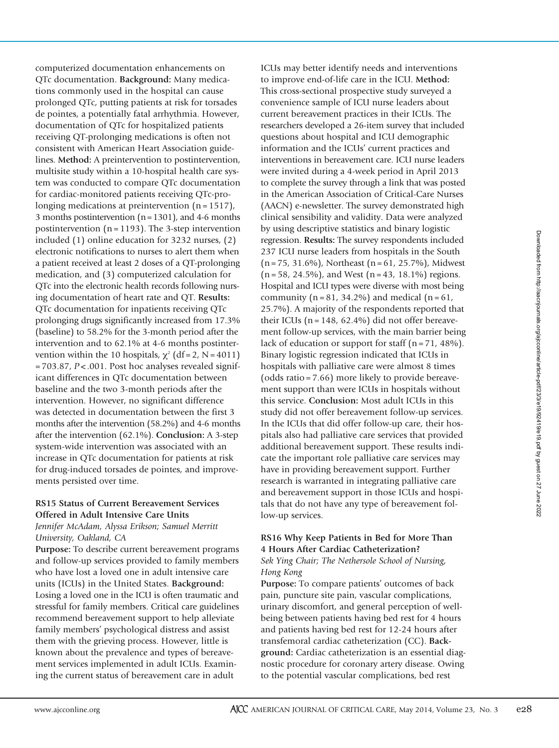computerized documentation enhancements on QTc documentation. **Background:** Many medications commonly used in the hospital can cause prolonged QTc, putting patients at risk for torsades de pointes, a potentially fatal arrhythmia. However, documentation of QTc for hospitalized patients receiving QT-prolonging medications is often not consistent with American Heart Association guidelines. **Method:** A preintervention to postintervention, multisite study within a 10-hospital health care system was conducted to compare QTc documentation for cardiac-monitored patients receiving QTc-prolonging medications at preintervention  $(n = 1517)$ , 3 months postintervention (n=1301), and 4-6 months postintervention ( $n = 1193$ ). The 3-step intervention included (1) online education for 3232 nurses, (2) electronic notifications to nurses to alert them when a patient received at least 2 doses of a QT-prolonging medication, and (3) computerized calculation for QTc into the electronic health records following nursing documentation of heart rate and QT. **Results:** QTc documentation for inpatients receiving QTc prolonging drugs significantly increased from 17.3% (baseline) to 58.2% for the 3-month period after the intervention and to 62.1% at 4-6 months postintervention within the 10 hospitals,  $\chi^2$  (df = 2, N = 4011) = 703.87, *P* < .001. Post hoc analyses revealed significant differences in QTc documentation between baseline and the two 3-month periods after the intervention. However, no significant difference was detected in documentation between the first 3 months after the intervention (58.2%) and 4-6 months after the intervention (62.1%). **Conclusion:** A 3-step system-wide intervention was associated with an increase in QTc documentation for patients at risk for drug-induced torsades de pointes, and improvements persisted over time.

## **RS15 Status of Current Bereavement Services Offered in Adult Intensive Care Units**

*Jennifer McAdam, Alyssa Erikson; Samuel Merritt University, Oakland, CA*

**Purpose:** To describe current bereavement programs and follow-up services provided to family members who have lost a loved one in adult intensive care units (ICUs) in the United States. **Background:** Losing a loved one in the ICU is often traumatic and stressful for family members. Critical care guidelines recommend bereavement support to help alleviate family members' psychological distress and assist them with the grieving process. However, little is known about the prevalence and types of bereavement services implemented in adult ICUs. Examining the current status of bereavement care in adult

ICUs may better identify needs and interventions to improve end-of-life care in the ICU. **Method:** This cross-sectional prospective study surveyed a convenience sample of ICU nurse leaders about current bereavement practices in their ICUs. The researchers developed a 26-item survey that included questions about hospital and ICU demographic information and the ICUs' current practices and interventions in bereavement care. ICU nurse leaders were invited during a 4-week period in April 2013 to complete the survey through a link that was posted in the American Association of Critical-Care Nurses (AACN) e-newsletter. The survey demonstrated high clinical sensibility and validity. Data were analyzed by using descriptive statistics and binary logistic regression. **Results:** The survey respondents included 237 ICU nurse leaders from hospitals in the South  $(n = 75, 31.6\%)$ , Northeast  $(n = 61, 25.7\%)$ , Midwest  $(n = 58, 24.5\%)$ , and West  $(n = 43, 18.1\%)$  regions. Hospital and ICU types were diverse with most being community ( $n = 81$ , 34.2%) and medical ( $n = 61$ , 25.7%). A majority of the respondents reported that their ICUs ( $n = 148$ , 62.4%) did not offer bereavement follow-up services, with the main barrier being lack of education or support for staff  $(n = 71, 48\%)$ . Binary logistic regression indicated that ICUs in hospitals with palliative care were almost 8 times (odds ratio = 7.66) more likely to provide bereavement support than were ICUs in hospitals without this service. **Conclusion:** Most adult ICUs in this study did not offer bereavement follow-up services. In the ICUs that did offer follow-up care, their hospitals also had palliative care services that provided additional bereavement support. These results indicate the important role palliative care services may have in providing bereavement support. Further research is warranted in integrating palliative care and bereavement support in those ICUs and hospitals that do not have any type of bereavement follow-up services.

#### **RS16 Why Keep Patients in Bed for More Than 4 Hours After Cardiac Catheterization?**

*Sek Ying Chair; The Nethersole School of Nursing, Hong Kong*

**Purpose:** To compare patients' outcomes of back pain, puncture site pain, vascular complications, urinary discomfort, and general perception of wellbeing between patients having bed rest for 4 hours and patients having bed rest for 12-24 hours after transfemoral cardiac catheterization (CC). **Background:** Cardiac catheterization is an essential diagnostic procedure for coronary artery disease. Owing to the potential vascular complications, bed rest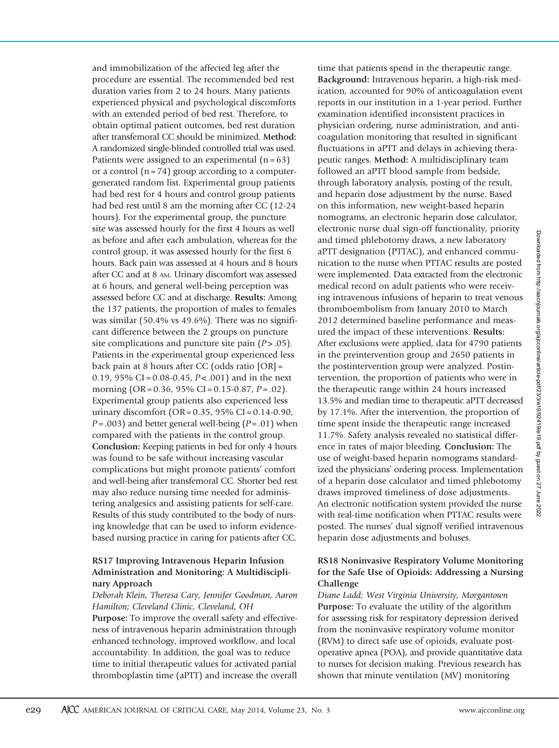and immobilization of the affected leg after the procedure are essential. The recommended bed rest duration varies from 2 to 24 hours. Many patients experienced physical and psychological discomforts with an extended period of bed rest. Therefore, to obtain optimal patient outcomes, bed rest duration after transfemoral CC should be minimized. **Method:** A randomized single-blinded controlled trial was used. Patients were assigned to an experimental  $(n = 63)$ or a control  $(n = 74)$  group according to a computergenerated random list. Experimental group patients had bed rest for 4 hours and control group patients had bed rest until 8 am the morning after CC (12-24 hours). For the experimental group, the puncture site was assessed hourly for the first 4 hours as well as before and after each ambulation, whereas for the control group, it was assessed hourly for the first 6 hours. Back pain was assessed at 4 hours and 8 hours after CC and at 8 AM. Urinary discomfort was assessed at 6 hours, and general well-being perception was assessed before CC and at discharge. **Results:** Among the 137 patients, the proportion of males to females was similar (50.4% vs 49.6%). There was no significant difference between the 2 groups on puncture site complications and puncture site pain (*P* > .05). Patients in the experimental group experienced less back pain at 8 hours after CC (odds ratio [OR] = 0.19, 95% CI = 0.08-0.45, *P* < .001) and in the next morning (OR = 0.36, 95% CI = 0.15-0.87, *P* = .02). Experimental group patients also experienced less urinary discomfort (OR = 0.35, 95% CI = 0.14-0.90, *P*= .003) and better general well-being (*P*= .01) when compared with the patients in the control group. **Conclusion:** Keeping patients in bed for only 4 hours was found to be safe without increasing vascular complications but might promote patients' comfort and well-being after transfemoral CC. Shorter bed rest may also reduce nursing time needed for administering analgesics and assisting patients for self-care. Results of this study contributed to the body of nursing knowledge that can be used to inform evidencebased nursing practice in caring for patients after CC.

## **RS17 Improving Intravenous Heparin Infusion Administration and Monitoring: A Multidisciplinary Approach**

*Deborah Klein, Theresa Cary, Jennifer Goodman, Aaron Hamilton; Cleveland Clinic, Cleveland, OH*

**Purpose:** To improve the overall safety and effectiveness of intravenous heparin administration through enhanced technology, improved workflow, and local accountability. In addition, the goal was to reduce time to initial therapeutic values for activated partial thromboplastin time (aPTT) and increase the overall

time that patients spend in the therapeutic range. **Background:** Intravenous heparin, a high-risk medication, accounted for 90% of anticoagulation event reports in our institution in a 1-year period. Further examination identified inconsistent practices in physician ordering, nurse administration, and anticoagulation monitoring that resulted in significant fluctuations in aPTT and delays in achieving therapeutic ranges. **Method:** A multidisciplinary team followed an aPTT blood sample from bedside, through laboratory analysis, posting of the result, and heparin dose adjustment by the nurse. Based on this information, new weight-based heparin nomograms, an electronic heparin dose calculator, electronic nurse dual sign-off functionality, priority and timed phlebotomy draws, a new laboratory aPTT designation (PTTAC), and enhanced communication to the nurse when PTTAC results are posted were implemented. Data extracted from the electronic medical record on adult patients who were receiving intravenous infusions of heparin to treat venous thromboembolism from January 2010 to March 2012 determined baseline performance and measured the impact of these interventions. **Results:** After exclusions were applied, data for 4790 patients in the preintervention group and 2650 patients in the postintervention group were analyzed. Postintervention, the proportion of patients who were in the therapeutic range within 24 hours increased 13.5% and median time to therapeutic aPTT decreased by 17.1%. After the intervention, the proportion of time spent inside the therapeutic range increased 11.7%. Safety analysis revealed no statistical difference in rates of major bleeding. **Conclusion:** The use of weight-based heparin nomograms standardized the physicians' ordering process. Implementation of a heparin dose calculator and timed phlebotomy draws improved timeliness of dose adjustments. An electronic notification system provided the nurse with real-time notification when PTTAC results were posted. The nurses' dual signoff verified intravenous heparin dose adjustments and boluses.

## **RS18 Noninvasive Respiratory Volume Monitoring for the Safe Use of Opioids: Addressing a Nursing Challenge**

*Diane Ladd; West Virginia University, Morgantown* **Purpose:** To evaluate the utility of the algorithm for assessing risk for respiratory depression derived from the noninvasive respiratory volume monitor (RVM) to direct safe use of opioids, evaluate postoperative apnea (POA), and provide quantitative data to nurses for decision making. Previous research has shown that minute ventilation (MV) monitoring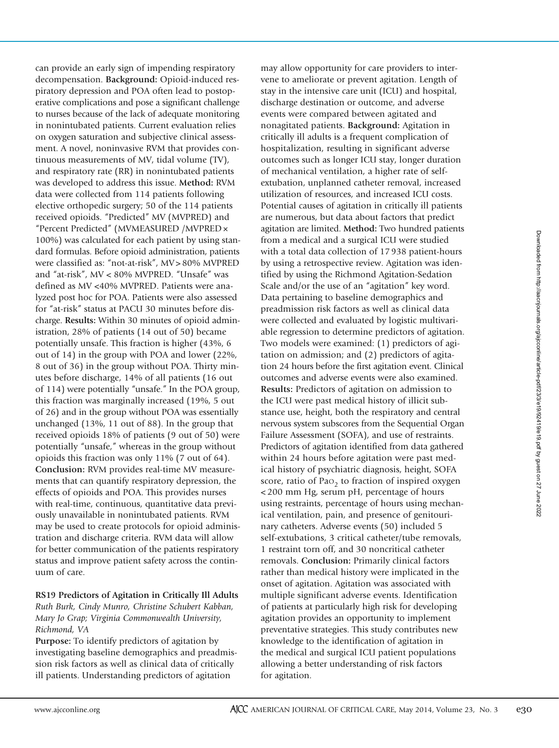can provide an early sign of impending respiratory decompensation. **Background:** Opioid-induced respiratory depression and POA often lead to postoperative complications and pose a significant challenge to nurses because of the lack of adequate monitoring in nonintubated patients. Current evaluation relies on oxygen saturation and subjective clinical assessment. A novel, noninvasive RVM that provides continuous measurements of MV, tidal volume (TV), and respiratory rate (RR) in nonintubated patients was developed to address this issue. **Method:** RVM data were collected from 114 patients following elective orthopedic surgery; 50 of the 114 patients received opioids. "Predicted" MV (MVPRED) and "Percent Predicted" (MVMEASURED /MVPRED× 100%) was calculated for each patient by using standard formulas. Before opioid administration, patients were classified as: "not-at-risk", MV > 80% MVPRED and "at-risk", MV < 80% MVPRED. "Unsafe" was defined as MV <40% MVPRED. Patients were analyzed post hoc for POA. Patients were also assessed for "at-risk" status at PACU 30 minutes before discharge. **Results:** Within 30 minutes of opioid administration, 28% of patients (14 out of 50) became potentially unsafe. This fraction is higher (43%, 6 out of 14) in the group with POA and lower (22%, 8 out of 36) in the group without POA. Thirty minutes before discharge, 14% of all patients (16 out of 114) were potentially "unsafe." In the POA group, this fraction was marginally increased (19%, 5 out of 26) and in the group without POA was essentially unchanged (13%, 11 out of 88). In the group that received opioids 18% of patients (9 out of 50) were potentially "unsafe," whereas in the group without opioids this fraction was only 11% (7 out of 64). **Conclusion:** RVM provides real-time MV measurements that can quantify respiratory depression, the effects of opioids and POA. This provides nurses with real-time, continuous, quantitative data previously unavailable in nonintubated patients. RVM may be used to create protocols for opioid administration and discharge criteria. RVM data will allow for better communication of the patients respiratory status and improve patient safety across the continuum of care.

#### **RS19 Predictors of Agitation in Critically Ill Adults**

*Ruth Burk, Cindy Munro, Christine Schubert Kabban, Mary Jo Grap; Virginia Commonwealth University, Richmond, VA*

**Purpose:** To identify predictors of agitation by investigating baseline demographics and preadmission risk factors as well as clinical data of critically ill patients. Understanding predictors of agitation

may allow opportunity for care providers to intervene to ameliorate or prevent agitation. Length of stay in the intensive care unit (ICU) and hospital, discharge destination or outcome, and adverse events were compared between agitated and nonagitated patients. **Background:** Agitation in critically ill adults is a frequent complication of hospitalization, resulting in significant adverse outcomes such as longer ICU stay, longer duration of mechanical ventilation, a higher rate of selfextubation, unplanned catheter removal, increased utilization of resources, and increased ICU costs. Potential causes of agitation in critically ill patients are numerous, but data about factors that predict agitation are limited. **Method:** Two hundred patients from a medical and a surgical ICU were studied with a total data collection of 17 938 patient-hours by using a retrospective review. Agitation was identified by using the Richmond Agitation-Sedation Scale and/or the use of an "agitation" key word. Data pertaining to baseline demographics and preadmission risk factors as well as clinical data were collected and evaluated by logistic multivariable regression to determine predictors of agitation. Two models were examined: (1) predictors of agitation on admission; and (2) predictors of agitation 24 hours before the first agitation event. Clinical outcomes and adverse events were also examined. **Results:** Predictors of agitation on admission to the ICU were past medical history of illicit substance use, height, both the respiratory and central nervous system subscores from the Sequential Organ Failure Assessment (SOFA), and use of restraints. Predictors of agitation identified from data gathered within 24 hours before agitation were past medical history of psychiatric diagnosis, height, SOFA score, ratio of Pao<sub>2</sub> to fraction of inspired oxygen < 200 mm Hg, serum pH, percentage of hours using restraints, percentage of hours using mechanical ventilation, pain, and presence of genitourinary catheters. Adverse events (50) included 5 self-extubations, 3 critical catheter/tube removals, 1 restraint torn off, and 30 noncritical catheter removals. **Conclusion:** Primarily clinical factors rather than medical history were implicated in the onset of agitation. Agitation was associated with multiple significant adverse events. Identification of patients at particularly high risk for developing agitation provides an opportunity to implement preventative strategies. This study contributes new knowledge to the identification of agitation in the medical and surgical ICU patient populations allowing a better understanding of risk factors for agitation.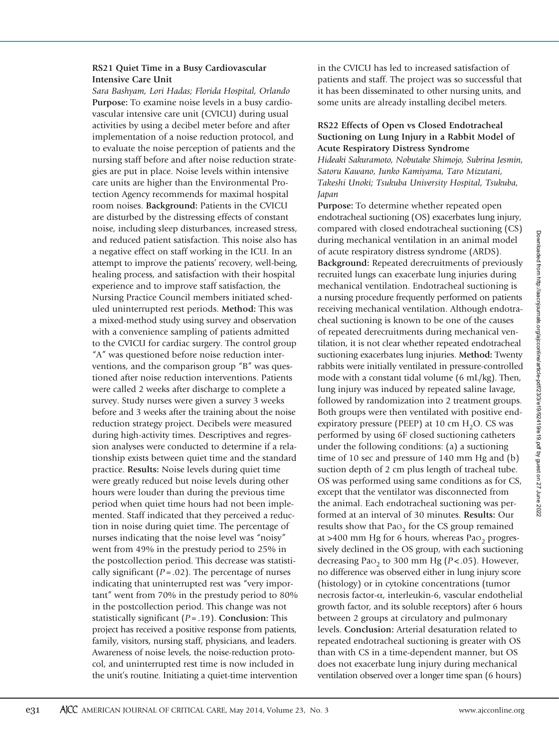## **RS21 Quiet Time in a Busy Cardiovascular Intensive Care Unit**

*Sara Bashyam, Lori Hadas; Florida Hospital, Orlando* **Purpose:** To examine noise levels in a busy cardiovascular intensive care unit (CVICU) during usual activities by using a decibel meter before and after implementation of a noise reduction protocol, and to evaluate the noise perception of patients and the nursing staff before and after noise reduction strategies are put in place. Noise levels within intensive care units are higher than the Environmental Protection Agency recommends for maximal hospital room noises. **Background:** Patients in the CVICU are disturbed by the distressing effects of constant noise, including sleep disturbances, increased stress, and reduced patient satisfaction. This noise also has a negative effect on staff working in the ICU. In an attempt to improve the patients' recovery, well-being, healing process, and satisfaction with their hospital experience and to improve staff satisfaction, the Nursing Practice Council members initiated scheduled uninterrupted rest periods. **Method:** This was a mixed-method study using survey and observation with a convenience sampling of patients admitted to the CVICU for cardiac surgery. The control group "A" was questioned before noise reduction interventions, and the comparison group "B" was questioned after noise reduction interventions. Patients were called 2 weeks after discharge to complete a survey. Study nurses were given a survey 3 weeks before and 3 weeks after the training about the noise reduction strategy project. Decibels were measured during high-activity times. Descriptives and regression analyses were conducted to determine if a relationship exists between quiet time and the standard practice. **Results:** Noise levels during quiet time were greatly reduced but noise levels during other hours were louder than during the previous time period when quiet time hours had not been implemented. Staff indicated that they perceived a reduction in noise during quiet time. The percentage of nurses indicating that the noise level was "noisy" went from 49% in the prestudy period to 25% in the postcollection period. This decrease was statistically significant  $(P = .02)$ . The percentage of nurses indicating that uninterrupted rest was "very important" went from 70% in the prestudy period to 80% in the postcollection period. This change was not statistically significant (*P* = .19). **Conclusion:** This project has received a positive response from patients, family, visitors, nursing staff, physicians, and leaders. Awareness of noise levels, the noise-reduction protocol, and uninterrupted rest time is now included in the unit's routine. Initiating a quiet-time intervention

in the CVICU has led to increased satisfaction of patients and staff. The project was so successful that it has been disseminated to other nursing units, and some units are already installing decibel meters.

## **RS22 Effects of Open vs Closed Endotracheal Suctioning on Lung Injury in a Rabbit Model of Acute Respiratory Distress Syndrome**

*Hideaki Sakuramoto, Nobutake Shimojo, Subrina Jesmin, Satoru Kawano, Junko Kamiyama, Taro Mizutani, Takeshi Unoki; Tsukuba University Hospital, Tsukuba, Japan*

**Purpose:** To determine whether repeated open endotracheal suctioning (OS) exacerbates lung injury, compared with closed endotracheal suctioning (CS) during mechanical ventilation in an animal model of acute respiratory distress syndrome (ARDS). **Background:** Repeated derecruitments of previously recruited lungs can exacerbate lung injuries during mechanical ventilation. Endotracheal suctioning is a nursing procedure frequently performed on patients receiving mechanical ventilation. Although endotracheal suctioning is known to be one of the causes of repeated derecruitments during mechanical ventilation, it is not clear whether repeated endotracheal suctioning exacerbates lung injuries. **Method:** Twenty rabbits were initially ventilated in pressure-controlled mode with a constant tidal volume (6 mL/kg). Then, lung injury was induced by repeated saline lavage, followed by randomization into 2 treatment groups. Both groups were then ventilated with positive endexpiratory pressure (PEEP) at  $10 \text{ cm H}_{2}O$ . CS was performed by using 6F closed suctioning catheters under the following conditions: (a) a suctioning time of 10 sec and pressure of 140 mm Hg and (b) suction depth of 2 cm plus length of tracheal tube. OS was performed using same conditions as for CS, except that the ventilator was disconnected from the animal. Each endotracheal suctioning was performed at an interval of 30 minutes. **Results:** Our results show that  $PaO<sub>2</sub>$  for the CS group remained at >400 mm Hg for 6 hours, whereas  $PaO<sub>2</sub>$  progressively declined in the OS group, with each suctioning decreasing Pa $\circ$ , to 300 mm Hg ( $P < .05$ ). However, no difference was observed either in lung injury score (histology) or in cytokine concentrations (tumor necrosis factor-α, interleukin-6, vascular endothelial growth factor, and its soluble receptors) after 6 hours between 2 groups at circulatory and pulmonary levels. **Conclusion:** Arterial desaturation related to repeated endotracheal suctioning is greater with OS than with CS in a time-dependent manner, but OS does not exacerbate lung injury during mechanical ventilation observed over a longer time span (6 hours)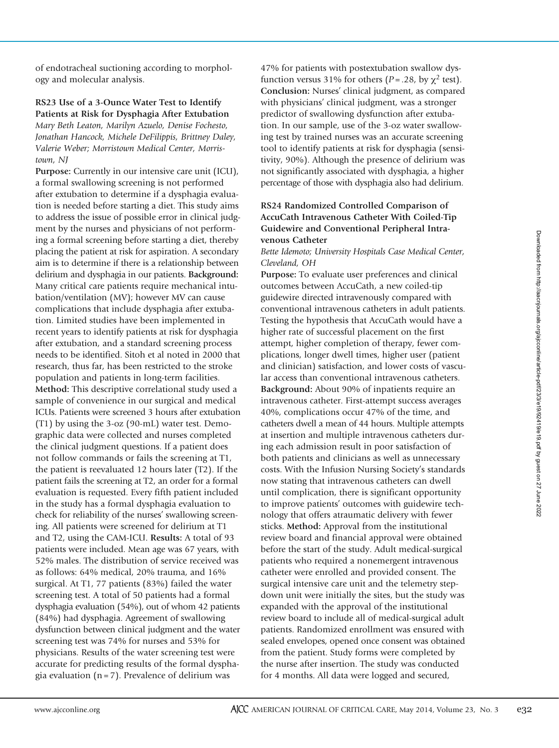of endotracheal suctioning according to morphology and molecular analysis.

# **RS23 Use of a 3-Ounce Water Test to Identify Patients at Risk for Dysphagia After Extubation**

*Mary Beth Leaton, Marilyn Azuelo, Denise Fochesto, Jonathan Hancock, Michele DeFilippis, Brittney Daley, Valerie Weber; Morristown Medical Center, Morristown, NJ*

**Purpose:** Currently in our intensive care unit (ICU), a formal swallowing screening is not performed after extubation to determine if a dysphagia evaluation is needed before starting a diet. This study aims to address the issue of possible error in clinical judgment by the nurses and physicians of not performing a formal screening before starting a diet, thereby placing the patient at risk for aspiration. A secondary aim is to determine if there is a relationship between delirium and dysphagia in our patients. **Background:** Many critical care patients require mechanical intubation/ventilation (MV); however MV can cause complications that include dysphagia after extubation. Limited studies have been implemented in recent years to identify patients at risk for dysphagia after extubation, and a standard screening process needs to be identified. Sitoh et al noted in 2000 that research, thus far, has been restricted to the stroke population and patients in long-term facilities. **Method:** This descriptive correlational study used a sample of convenience in our surgical and medical ICUs. Patients were screened 3 hours after extubation (T1) by using the 3-oz (90-mL) water test. Demographic data were collected and nurses completed the clinical judgment questions. If a patient does not follow commands or fails the screening at T1, the patient is reevaluated 12 hours later (T2). If the patient fails the screening at T2, an order for a formal evaluation is requested. Every fifth patient included in the study has a formal dysphagia evaluation to check for reliability of the nurses' swallowing screening. All patients were screened for delirium at T1 and T2, using the CAM-ICU. **Results:** A total of 93 patients were included. Mean age was 67 years, with 52% males. The distribution of service received was as follows: 64% medical, 20% trauma, and 16% surgical. At T1, 77 patients (83%) failed the water screening test. A total of 50 patients had a formal dysphagia evaluation (54%), out of whom 42 patients (84%) had dysphagia. Agreement of swallowing dysfunction between clinical judgment and the water screening test was 74% for nurses and 53% for physicians. Results of the water screening test were accurate for predicting results of the formal dysphagia evaluation  $(n = 7)$ . Prevalence of delirium was

47% for patients with postextubation swallow dysfunction versus 31% for others ( $P = .28$ , by  $\chi^2$  test). **Conclusion:** Nurses' clinical judgment, as compared with physicians' clinical judgment, was a stronger predictor of swallowing dysfunction after extubation. In our sample, use of the 3-oz water swallowing test by trained nurses was an accurate screening tool to identify patients at risk for dysphagia (sensitivity, 90%). Although the presence of delirium was not significantly associated with dysphagia, a higher percentage of those with dysphagia also had delirium.

## **RS24 Randomized Controlled Comparison of AccuCath Intravenous Catheter With Coiled-Tip Guidewire and Conventional Peripheral Intravenous Catheter**

#### *Bette Idemoto; University Hospitals Case Medical Center, Cleveland, OH*

**Purpose:** To evaluate user preferences and clinical outcomes between AccuCath, a new coiled-tip guidewire directed intravenously compared with conventional intravenous catheters in adult patients. Testing the hypothesis that AccuCath would have a higher rate of successful placement on the first attempt, higher completion of therapy, fewer complications, longer dwell times, higher user (patient and clinician) satisfaction, and lower costs of vascular access than conventional intravenous catheters. **Background:** About 90% of inpatients require an intravenous catheter. First-attempt success averages 40%, complications occur 47% of the time, and catheters dwell a mean of 44 hours. Multiple attempts at insertion and multiple intravenous catheters during each admission result in poor satisfaction of both patients and clinicians as well as unnecessary costs. With the Infusion Nursing Society's standards now stating that intravenous catheters can dwell until complication, there is significant opportunity to improve patients' outcomes with guidewire technology that offers atraumatic delivery with fewer sticks. **Method:** Approval from the institutional review board and financial approval were obtained before the start of the study. Adult medical-surgical patients who required a nonemergent intravenous catheter were enrolled and provided consent. The surgical intensive care unit and the telemetry stepdown unit were initially the sites, but the study was expanded with the approval of the institutional review board to include all of medical-surgical adult patients. Randomized enrollment was ensured with sealed envelopes, opened once consent was obtained from the patient. Study forms were completed by the nurse after insertion. The study was conducted for 4 months. All data were logged and secured,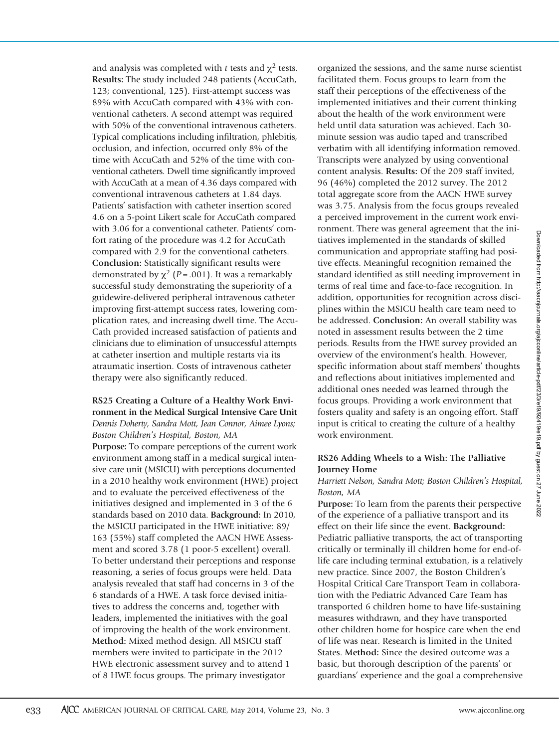and analysis was completed with *t* tests and  $\chi^2$  tests. **Results:** The study included 248 patients (AccuCath, 123; conventional, 125). First-attempt success was 89% with AccuCath compared with 43% with conventional catheters. A second attempt was required with 50% of the conventional intravenous catheters. Typical complications including infiltration, phlebitis, occlusion, and infection, occurred only 8% of the time with AccuCath and 52% of the time with conventional catheters. Dwell time significantly improved with AccuCath at a mean of 4.36 days compared with conventional intravenous catheters at 1.84 days. Patients' satisfaction with catheter insertion scored 4.6 on a 5-point Likert scale for AccuCath compared with 3.06 for a conventional catheter. Patients' comfort rating of the procedure was 4.2 for AccuCath compared with 2.9 for the conventional catheters. **Conclusion:** Statistically significant results were demonstrated by  $\chi^2$  (*P* = .001). It was a remarkably successful study demonstrating the superiority of a guidewire-delivered peripheral intravenous catheter improving first-attempt success rates, lowering complication rates, and increasing dwell time. The Accu-Cath provided increased satisfaction of patients and clinicians due to elimination of unsuccessful attempts at catheter insertion and multiple restarts via its atraumatic insertion. Costs of intravenous catheter therapy were also significantly reduced.

#### **RS25 Creating a Culture of a Healthy Work Environment in the Medical Surgical Intensive Care Unit** *Dennis Doherty, Sandra Mott, Jean Connor, Aimee Lyons; Boston Children's Hospital, Boston, MA*

**Purpose:** To compare perceptions of the current work environment among staff in a medical surgical intensive care unit (MSICU) with perceptions documented in a 2010 healthy work environment (HWE) project and to evaluate the perceived effectiveness of the initiatives designed and implemented in 3 of the 6 standards based on 2010 data. **Background:** In 2010, the MSICU participated in the HWE initiative: 89/ 163 (55%) staff completed the AACN HWE Assessment and scored 3.78 (1 poor-5 excellent) overall. To better understand their perceptions and response reasoning, a series of focus groups were held. Data analysis revealed that staff had concerns in 3 of the 6 standards of a HWE. A task force devised initiatives to address the concerns and, together with leaders, implemented the initiatives with the goal of improving the health of the work environment. **Method:** Mixed method design. All MSICU staff members were invited to participate in the 2012 HWE electronic assessment survey and to attend 1 of 8 HWE focus groups. The primary investigator

organized the sessions, and the same nurse scientist facilitated them. Focus groups to learn from the staff their perceptions of the effectiveness of the implemented initiatives and their current thinking about the health of the work environment were held until data saturation was achieved. Each 30 minute session was audio taped and transcribed verbatim with all identifying information removed. Transcripts were analyzed by using conventional content analysis. **Results:** Of the 209 staff invited, 96 (46%) completed the 2012 survey. The 2012 total aggregate score from the AACN HWE survey was 3.75. Analysis from the focus groups revealed a perceived improvement in the current work environment. There was general agreement that the initiatives implemented in the standards of skilled communication and appropriate staffing had positive effects. Meaningful recognition remained the standard identified as still needing improvement in terms of real time and face-to-face recognition. In addition, opportunities for recognition across disciplines within the MSICU health care team need to be addressed. **Conclusion:** An overall stability was noted in assessment results between the 2 time periods. Results from the HWE survey provided an overview of the environment's health. However, specific information about staff members' thoughts and reflections about initiatives implemented and additional ones needed was learned through the focus groups. Providing a work environment that fosters quality and safety is an ongoing effort. Staff input is critical to creating the culture of a healthy work environment.

#### **RS26 Adding Wheels to a Wish: The Palliative Journey Home**

#### *Harriett Nelson, Sandra Mott; Boston Children's Hospital, Boston, MA*

**Purpose:** To learn from the parents their perspective of the experience of a palliative transport and its effect on their life since the event. **Background:** Pediatric palliative transports, the act of transporting critically or terminally ill children home for end-oflife care including terminal extubation, is a relatively new practice. Since 2007, the Boston Children's Hospital Critical Care Transport Team in collaboration with the Pediatric Advanced Care Team has transported 6 children home to have life-sustaining measures withdrawn, and they have transported other children home for hospice care when the end of life was near. Research is limited in the United States. **Method:** Since the desired outcome was a basic, but thorough description of the parents' or guardians' experience and the goal a comprehensive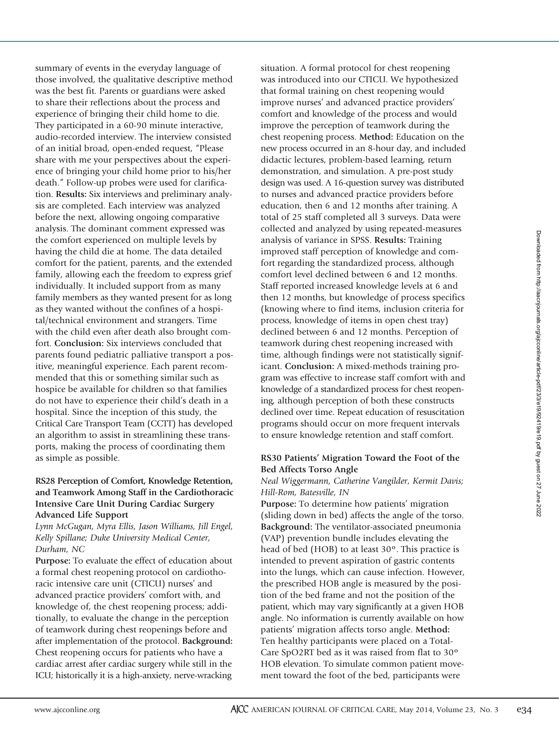summary of events in the everyday language of those involved, the qualitative descriptive method was the best fit. Parents or guardians were asked to share their reflections about the process and experience of bringing their child home to die. They participated in a 60-90 minute interactive, audio-recorded interview. The interview consisted of an initial broad, open-ended request, "Please share with me your perspectives about the experience of bringing your child home prior to his/her death." Follow-up probes were used for clarification. **Results:** Six interviews and preliminary analysis are completed. Each interview was analyzed before the next, allowing ongoing comparative analysis. The dominant comment expressed was the comfort experienced on multiple levels by having the child die at home. The data detailed comfort for the patient, parents, and the extended family, allowing each the freedom to express grief individually. It included support from as many family members as they wanted present for as long as they wanted without the confines of a hospital/technical environment and strangers. Time with the child even after death also brought comfort. **Conclusion:** Six interviews concluded that parents found pediatric palliative transport a positive, meaningful experience. Each parent recommended that this or something similar such as hospice be available for children so that families do not have to experience their child's death in a hospital. Since the inception of this study, the Critical Care Transport Team (CCTT) has developed an algorithm to assist in streamlining these transports, making the process of coordinating them as simple as possible.

#### **RS28 Perception of Comfort, Knowledge Retention, and Teamwork Among Staff in the Cardiothoracic Intensive Care Unit During Cardiac Surgery Advanced Life Support**

*Lynn McGugan, Myra Ellis, Jason Williams, Jill Engel, Kelly Spillane; Duke University Medical Center, Durham, NC*

**Purpose:** To evaluate the effect of education about a formal chest reopening protocol on cardiothoracic intensive care unit (CTICU) nurses' and advanced practice providers' comfort with, and knowledge of, the chest reopening process; additionally, to evaluate the change in the perception of teamwork during chest reopenings before and after implementation of the protocol. **Background:** Chest reopening occurs for patients who have a cardiac arrest after cardiac surgery while still in the ICU; historically it is a high-anxiety, nerve-wracking

situation. A formal protocol for chest reopening was introduced into our CTICU. We hypothesized that formal training on chest reopening would improve nurses' and advanced practice providers' comfort and knowledge of the process and would improve the perception of teamwork during the chest reopening process. **Method:** Education on the new process occurred in an 8-hour day, and included didactic lectures, problem-based learning, return demonstration, and simulation. A pre-post study design was used. A 16-question survey was distributed to nurses and advanced practice providers before education, then 6 and 12 months after training. A total of 25 staff completed all 3 surveys. Data were collected and analyzed by using repeated-measures analysis of variance in SPSS. **Results:** Training improved staff perception of knowledge and comfort regarding the standardized process, although comfort level declined between 6 and 12 months. Staff reported increased knowledge levels at 6 and then 12 months, but knowledge of process specifics (knowing where to find items, inclusion criteria for process, knowledge of items in open chest tray) declined between 6 and 12 months. Perception of teamwork during chest reopening increased with time, although findings were not statistically significant. **Conclusion:** A mixed-methods training program was effective to increase staff comfort with and knowledge of a standardized process for chest reopening, although perception of both these constructs declined over time. Repeat education of resuscitation programs should occur on more frequent intervals to ensure knowledge retention and staff comfort.

#### **RS30 Patients' Migration Toward the Foot of the Bed Affects Torso Angle**

#### *Neal Wiggermann, Catherine Vangilder, Kermit Davis; Hill-Rom, Batesville, IN*

**Purpose:** To determine how patients' migration (sliding down in bed) affects the angle of the torso. **Background:** The ventilator-associated pneumonia (VAP) prevention bundle includes elevating the head of bed (HOB) to at least 30º. This practice is intended to prevent aspiration of gastric contents into the lungs, which can cause infection. However, the prescribed HOB angle is measured by the position of the bed frame and not the position of the patient, which may vary significantly at a given HOB angle. No information is currently available on how patients' migration affects torso angle. **Method:** Ten healthy participants were placed on a Total-Care SpO2RT bed as it was raised from flat to 30º HOB elevation. To simulate common patient movement toward the foot of the bed, participants were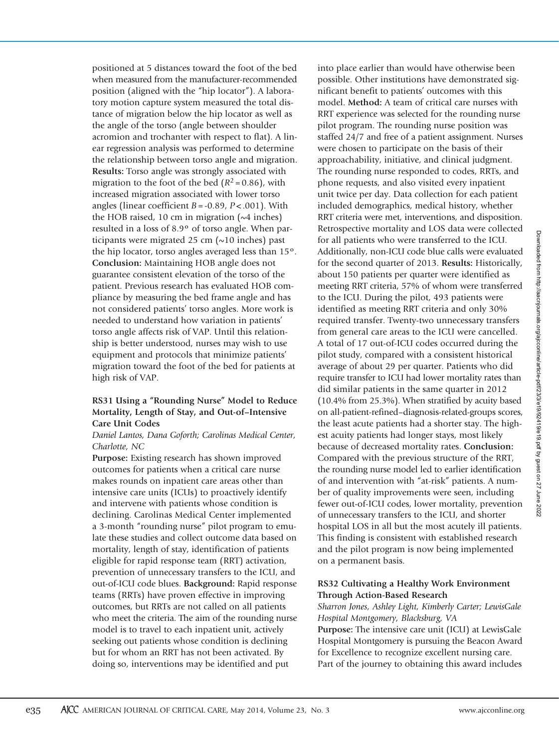positioned at 5 distances toward the foot of the bed when measured from the manufacturer-recommended position (aligned with the "hip locator"). A laboratory motion capture system measured the total distance of migration below the hip locator as well as the angle of the torso (angle between shoulder acromion and trochanter with respect to flat). A linear regression analysis was performed to determine the relationship between torso angle and migration. **Results:** Torso angle was strongly associated with migration to the foot of the bed  $(R^2 = 0.86)$ , with increased migration associated with lower torso angles (linear coefficient *B* = -0.89, *P* < .001). With the HOB raised, 10 cm in migration  $(\sim 4 \text{ inches})$ resulted in a loss of 8.9º of torso angle. When participants were migrated 25 cm (~10 inches) past the hip locator, torso angles averaged less than 15º. **Conclusion:** Maintaining HOB angle does not guarantee consistent elevation of the torso of the patient. Previous research has evaluated HOB compliance by measuring the bed frame angle and has not considered patients' torso angles. More work is needed to understand how variation in patients' torso angle affects risk of VAP. Until this relationship is better understood, nurses may wish to use equipment and protocols that minimize patients' migration toward the foot of the bed for patients at high risk of VAP.

## **RS31 Using a "Rounding Nurse" Model to Reduce Mortality, Length of Stay, and Out-of–Intensive Care Unit Codes**

*Daniel Lantos, Dana Goforth; Carolinas Medical Center, Charlotte, NC*

**Purpose:** Existing research has shown improved outcomes for patients when a critical care nurse makes rounds on inpatient care areas other than intensive care units (ICUs) to proactively identify and intervene with patients whose condition is declining. Carolinas Medical Center implemented a 3-month "rounding nurse" pilot program to emulate these studies and collect outcome data based on mortality, length of stay, identification of patients eligible for rapid response team (RRT) activation, prevention of unnecessary transfers to the ICU, and out-of-ICU code blues. **Background:** Rapid response teams (RRTs) have proven effective in improving outcomes, but RRTs are not called on all patients who meet the criteria. The aim of the rounding nurse model is to travel to each inpatient unit, actively seeking out patients whose condition is declining but for whom an RRT has not been activated. By doing so, interventions may be identified and put

into place earlier than would have otherwise been possible. Other institutions have demonstrated significant benefit to patients' outcomes with this model. **Method:** A team of critical care nurses with RRT experience was selected for the rounding nurse pilot program. The rounding nurse position was staffed 24/7 and free of a patient assignment. Nurses were chosen to participate on the basis of their approachability, initiative, and clinical judgment. The rounding nurse responded to codes, RRTs, and phone requests, and also visited every inpatient unit twice per day. Data collection for each patient included demographics, medical history, whether RRT criteria were met, interventions, and disposition. Retrospective mortality and LOS data were collected for all patients who were transferred to the ICU. Additionally, non-ICU code blue calls were evaluated for the second quarter of 2013. **Results:** Historically, about 150 patients per quarter were identified as meeting RRT criteria, 57% of whom were transferred to the ICU. During the pilot, 493 patients were identified as meeting RRT criteria and only 30% required transfer. Twenty-two unnecessary transfers from general care areas to the ICU were cancelled. A total of 17 out-of-ICU codes occurred during the pilot study, compared with a consistent historical average of about 29 per quarter. Patients who did require transfer to ICU had lower mortality rates than did similar patients in the same quarter in 2012 (10.4% from 25.3%). When stratified by acuity based on all-patient-refined–diagnosis-related-groups scores, the least acute patients had a shorter stay. The highest acuity patients had longer stays, most likely because of decreased mortality rates. **Conclusion:** Compared with the previous structure of the RRT, the rounding nurse model led to earlier identification of and intervention with "at-risk" patients. A number of quality improvements were seen, including fewer out-of-ICU codes, lower mortality, prevention of unnecessary transfers to the ICU, and shorter hospital LOS in all but the most acutely ill patients. This finding is consistent with established research and the pilot program is now being implemented on a permanent basis.

#### **RS32 Cultivating a Healthy Work Environment Through Action-Based Research**

#### *Sharron Jones, Ashley Light, Kimberly Carter; LewisGale Hospital Montgomery, Blacksburg, VA*

**Purpose:** The intensive care unit (ICU) at LewisGale Hospital Montgomery is pursuing the Beacon Award for Excellence to recognize excellent nursing care. Part of the journey to obtaining this award includes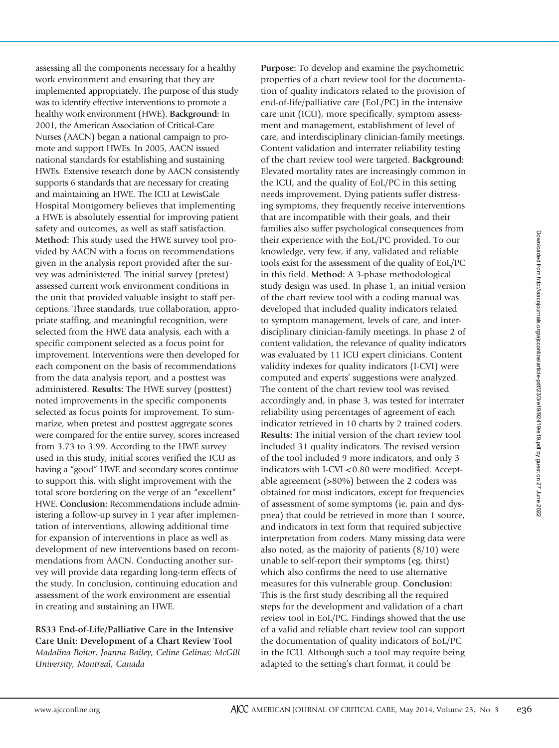assessing all the components necessary for a healthy work environment and ensuring that they are implemented appropriately. The purpose of this study was to identify effective interventions to promote a healthy work environment (HWE). **Background:** In 2001, the American Association of Critical-Care Nurses (AACN) began a national campaign to promote and support HWEs. In 2005, AACN issued national standards for establishing and sustaining HWEs. Extensive research done by AACN consistently supports 6 standards that are necessary for creating and maintaining an HWE. The ICU at LewisGale Hospital Montgomery believes that implementing a HWE is absolutely essential for improving patient safety and outcomes, as well as staff satisfaction. **Method:** This study used the HWE survey tool provided by AACN with a focus on recommendations given in the analysis report provided after the survey was administered. The initial survey (pretest) assessed current work environment conditions in the unit that provided valuable insight to staff perceptions. Three standards, true collaboration, appropriate staffing, and meaningful recognition, were selected from the HWE data analysis, each with a specific component selected as a focus point for improvement. Interventions were then developed for each component on the basis of recommendations from the data analysis report, and a posttest was administered. **Results:** The HWE survey (posttest) noted improvements in the specific components selected as focus points for improvement. To summarize, when pretest and posttest aggregate scores were compared for the entire survey, scores increased from 3.73 to 3.99. According to the HWE survey used in this study, initial scores verified the ICU as having a "good" HWE and secondary scores continue to support this, with slight improvement with the total score bordering on the verge of an "excellent" HWE. **Conclusion:** Recommendations include administering a follow-up survey in 1 year after implementation of interventions, allowing additional time for expansion of interventions in place as well as development of new interventions based on recommendations from AACN. Conducting another survey will provide data regarding long-term effects of the study. In conclusion, continuing education and assessment of the work environment are essential in creating and sustaining an HWE.

**RS33 End-of-Life/Palliative Care in the Intensive Care Unit: Development of a Chart Review Tool** *Madalina Boitor, Joanna Bailey, Celine Gelinas; McGill University, Montreal, Canada*

**Purpose:** To develop and examine the psychometric properties of a chart review tool for the documentation of quality indicators related to the provision of end-of-life/palliative care (EoL/PC) in the intensive care unit (ICU), more specifically, symptom assessment and management, establishment of level of care, and interdisciplinary clinician-family meetings. Content validation and interrater reliability testing of the chart review tool were targeted. **Background:** Elevated mortality rates are increasingly common in the ICU, and the quality of EoL/PC in this setting needs improvement. Dying patients suffer distressing symptoms, they frequently receive interventions that are incompatible with their goals, and their families also suffer psychological consequences from their experience with the EoL/PC provided. To our knowledge, very few, if any, validated and reliable tools exist for the assessment of the quality of EoL/PC in this field. **Method:** A 3-phase methodological study design was used. In phase 1, an initial version of the chart review tool with a coding manual was developed that included quality indicators related to symptom management, levels of care, and interdisciplinary clinician-family meetings. In phase 2 of content validation, the relevance of quality indicators was evaluated by 11 ICU expert clinicians. Content validity indexes for quality indicators (I-CVI) were computed and experts' suggestions were analyzed. The content of the chart review tool was revised accordingly and, in phase 3, was tested for interrater reliability using percentages of agreement of each indicator retrieved in 10 charts by 2 trained coders. **Results:** The initial version of the chart review tool included 31 quality indicators. The revised version of the tool included 9 more indicators, and only 3 indicators with I-CVI < 0.80 were modified. Acceptable agreement (>80%) between the 2 coders was obtained for most indicators, except for frequencies of assessment of some symptoms (ie, pain and dyspnea) that could be retrieved in more than 1 source, and indicators in text form that required subjective interpretation from coders. Many missing data were also noted, as the majority of patients (8/10) were unable to self-report their symptoms (eg, thirst) which also confirms the need to use alternative measures for this vulnerable group. **Conclusion:** This is the first study describing all the required steps for the development and validation of a chart review tool in EoL/PC. Findings showed that the use of a valid and reliable chart review tool can support the documentation of quality indicators of EoL/PC in the ICU. Although such a tool may require being adapted to the setting's chart format, it could be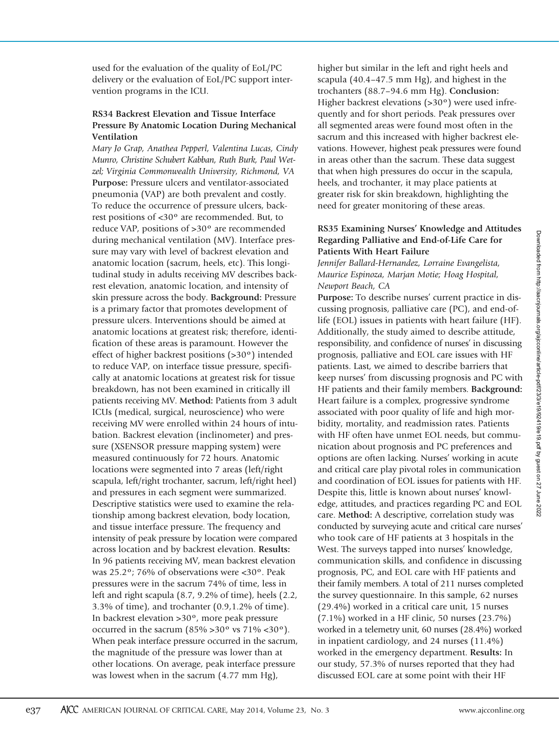## **RS34 Backrest Elevation and Tissue Interface Pressure By Anatomic Location During Mechanical Ventilation**

*Mary Jo Grap, Anathea Pepperl, Valentina Lucas, Cindy Munro, Christine Schubert Kabban, Ruth Burk, Paul Wetzel; Virginia Commonwealth University, Richmond, VA* **Purpose:** Pressure ulcers and ventilator-associated pneumonia (VAP) are both prevalent and costly. To reduce the occurrence of pressure ulcers, backrest positions of <30º are recommended. But, to reduce VAP, positions of >30º are recommended during mechanical ventilation (MV). Interface pressure may vary with level of backrest elevation and anatomic location (sacrum, heels, etc). This longitudinal study in adults receiving MV describes backrest elevation, anatomic location, and intensity of skin pressure across the body. **Background:** Pressure is a primary factor that promotes development of pressure ulcers. Interventions should be aimed at anatomic locations at greatest risk; therefore, identification of these areas is paramount. However the effect of higher backrest positions (>30º) intended to reduce VAP, on interface tissue pressure, specifically at anatomic locations at greatest risk for tissue breakdown, has not been examined in critically ill patients receiving MV. **Method:** Patients from 3 adult ICUs (medical, surgical, neuroscience) who were receiving MV were enrolled within 24 hours of intubation. Backrest elevation (inclinometer) and pressure (XSENSOR pressure mapping system) were measured continuously for 72 hours. Anatomic locations were segmented into 7 areas (left/right scapula, left/right trochanter, sacrum, left/right heel) and pressures in each segment were summarized. Descriptive statistics were used to examine the relationship among backrest elevation, body location, and tissue interface pressure. The frequency and intensity of peak pressure by location were compared across location and by backrest elevation. **Results:** In 96 patients receiving MV, mean backrest elevation was 25.2º; 76% of observations were <30º. Peak pressures were in the sacrum 74% of time, less in left and right scapula (8.7, 9.2% of time), heels (2.2, 3.3% of time), and trochanter (0.9,1.2% of time). In backrest elevation >30º, more peak pressure occurred in the sacrum  $(85\% > 30^\circ \text{ vs } 71\% < 30^\circ).$ When peak interface pressure occurred in the sacrum, the magnitude of the pressure was lower than at other locations. On average, peak interface pressure was lowest when in the sacrum (4.77 mm Hg),

higher but similar in the left and right heels and scapula (40.4–47.5 mm Hg), and highest in the trochanters (88.7–94.6 mm Hg). **Conclusion:** Higher backrest elevations (>30º) were used infrequently and for short periods. Peak pressures over all segmented areas were found most often in the sacrum and this increased with higher backrest elevations. However, highest peak pressures were found in areas other than the sacrum. These data suggest that when high pressures do occur in the scapula, heels, and trochanter, it may place patients at greater risk for skin breakdown, highlighting the need for greater monitoring of these areas.

## **RS35 Examining Nurses' Knowledge and Attitudes Regarding Palliative and End-of-Life Care for Patients With Heart Failure**

*Jennifer Ballard-Hernandez, Lorraine Evangelista, Maurice Espinoza, Marjan Motie; Hoag Hospital, Newport Beach, CA*

**Purpose:** To describe nurses' current practice in discussing prognosis, palliative care (PC), and end-oflife (EOL) issues in patients with heart failure (HF). Additionally, the study aimed to describe attitude, responsibility, and confidence of nurses' in discussing prognosis, palliative and EOL care issues with HF patients. Last, we aimed to describe barriers that keep nurses' from discussing prognosis and PC with HF patients and their family members. **Background:** Heart failure is a complex, progressive syndrome associated with poor quality of life and high morbidity, mortality, and readmission rates. Patients with HF often have unmet EOL needs, but communication about prognosis and PC preferences and options are often lacking. Nurses' working in acute and critical care play pivotal roles in communication and coordination of EOL issues for patients with HF. Despite this, little is known about nurses' knowledge, attitudes, and practices regarding PC and EOL care. **Method:** A descriptive, correlation study was conducted by surveying acute and critical care nurses' who took care of HF patients at 3 hospitals in the West. The surveys tapped into nurses' knowledge, communication skills, and confidence in discussing prognosis, PC, and EOL care with HF patients and their family members. A total of 211 nurses completed the survey questionnaire. In this sample, 62 nurses (29.4%) worked in a critical care unit, 15 nurses (7.1%) worked in a HF clinic, 50 nurses (23.7%) worked in a telemetry unit, 60 nurses (28.4%) worked in inpatient cardiology, and 24 nurses (11.4%) worked in the emergency department. **Results:** In our study, 57.3% of nurses reported that they had discussed EOL care at some point with their HF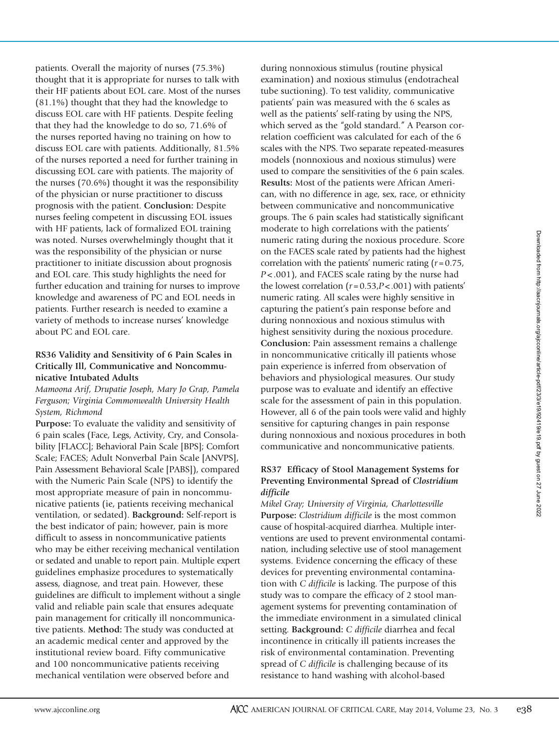patients. Overall the majority of nurses (75.3%) thought that it is appropriate for nurses to talk with their HF patients about EOL care. Most of the nurses (81.1%) thought that they had the knowledge to discuss EOL care with HF patients. Despite feeling that they had the knowledge to do so, 71.6% of the nurses reported having no training on how to discuss EOL care with patients. Additionally, 81.5% of the nurses reported a need for further training in discussing EOL care with patients. The majority of the nurses (70.6%) thought it was the responsibility of the physician or nurse practitioner to discuss prognosis with the patient. **Conclusion:** Despite nurses feeling competent in discussing EOL issues with HF patients, lack of formalized EOL training was noted. Nurses overwhelmingly thought that it was the responsibility of the physician or nurse practitioner to initiate discussion about prognosis and EOL care. This study highlights the need for further education and training for nurses to improve knowledge and awareness of PC and EOL needs in patients. Further research is needed to examine a variety of methods to increase nurses' knowledge about PC and EOL care.

## **RS36 Validity and Sensitivity of 6 Pain Scales in Critically Ill, Communicative and Noncommunicative Intubated Adults**

*Mamoona Arif, Drupatie Joseph, Mary Jo Grap, Pamela Ferguson; Virginia Commonwealth University Health System, Richmond*

**Purpose:** To evaluate the validity and sensitivity of 6 pain scales (Face, Legs, Activity, Cry, and Consolability [FLACC]; Behavioral Pain Scale [BPS]; Comfort Scale; FACES; Adult Nonverbal Pain Scale [ANVPS], Pain Assessment Behavioral Scale [PABS]), compared with the Numeric Pain Scale (NPS) to identify the most appropriate measure of pain in noncommunicative patients (ie, patients receiving mechanical ventilation, or sedated). **Background:** Self-report is the best indicator of pain; however, pain is more difficult to assess in noncommunicative patients who may be either receiving mechanical ventilation or sedated and unable to report pain. Multiple expert guidelines emphasize procedures to systematically assess, diagnose, and treat pain. However, these guidelines are difficult to implement without a single valid and reliable pain scale that ensures adequate pain management for critically ill noncommunicative patients. **Method:** The study was conducted at an academic medical center and approved by the institutional review board. Fifty communicative and 100 noncommunicative patients receiving mechanical ventilation were observed before and

during nonnoxious stimulus (routine physical examination) and noxious stimulus (endotracheal tube suctioning). To test validity, communicative patients' pain was measured with the 6 scales as well as the patients' self-rating by using the NPS, which served as the "gold standard." A Pearson correlation coefficient was calculated for each of the 6 scales with the NPS. Two separate repeated-measures models (nonnoxious and noxious stimulus) were used to compare the sensitivities of the 6 pain scales. **Results:** Most of the patients were African American, with no difference in age, sex, race, or ethnicity between communicative and noncommunicative groups. The 6 pain scales had statistically significant moderate to high correlations with the patients' numeric rating during the noxious procedure. Score on the FACES scale rated by patients had the highest correlation with the patients' numeric rating (*r*=0.75, *P* < .001), and FACES scale rating by the nurse had the lowest correlation (*r*=0.53,*P*<.001) with patients' numeric rating. All scales were highly sensitive in capturing the patient's pain response before and during nonnoxious and noxious stimulus with highest sensitivity during the noxious procedure. **Conclusion:** Pain assessment remains a challenge in noncommunicative critically ill patients whose pain experience is inferred from observation of behaviors and physiological measures. Our study purpose was to evaluate and identify an effective scale for the assessment of pain in this population. However, all 6 of the pain tools were valid and highly sensitive for capturing changes in pain response during nonnoxious and noxious procedures in both communicative and noncommunicative patients.

## **RS37 Efficacy of Stool Management Systems for Preventing Environmental Spread of** *Clostridium difficile*

*Mikel Gray; University of Virginia, Charlottesville* **Purpose:** *Clostridium difficile* is the most common cause of hospital-acquired diarrhea. Multiple interventions are used to prevent environmental contamination, including selective use of stool management systems. Evidence concerning the efficacy of these devices for preventing environmental contamination with *C difficile* is lacking. The purpose of this study was to compare the efficacy of 2 stool management systems for preventing contamination of the immediate environment in a simulated clinical setting. **Background:** *C difficile* diarrhea and fecal incontinence in critically ill patients increases the risk of environmental contamination. Preventing spread of *C difficile* is challenging because of its resistance to hand washing with alcohol-based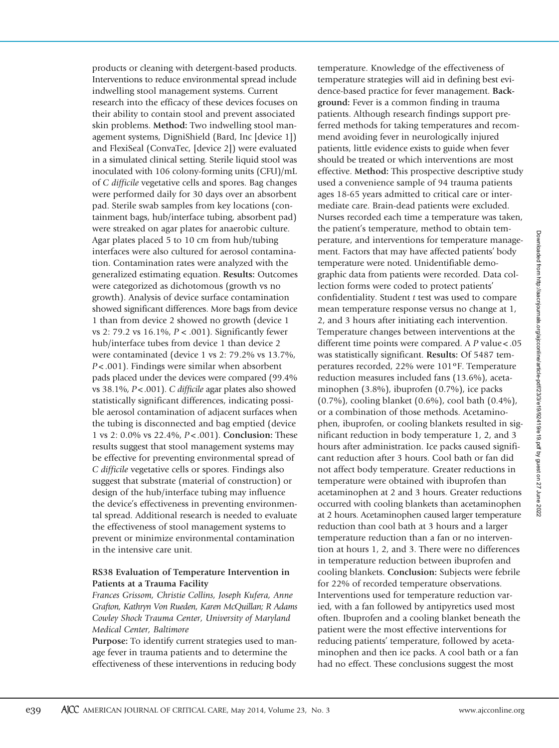products or cleaning with detergent-based products. Interventions to reduce environmental spread include indwelling stool management systems. Current research into the efficacy of these devices focuses on their ability to contain stool and prevent associated skin problems. **Method:** Two indwelling stool management systems, DigniShield (Bard, Inc [device 1]) and FlexiSeal (ConvaTec, [device 2]) were evaluated in a simulated clinical setting. Sterile liquid stool was inoculated with 106 colony-forming units (CFU)/mL of *C difficile* vegetative cells and spores. Bag changes were performed daily for 30 days over an absorbent pad. Sterile swab samples from key locations (containment bags, hub/interface tubing, absorbent pad) were streaked on agar plates for anaerobic culture. Agar plates placed 5 to 10 cm from hub/tubing interfaces were also cultured for aerosol contamination. Contamination rates were analyzed with the generalized estimating equation. **Results:** Outcomes were categorized as dichotomous (growth vs no growth). Analysis of device surface contamination showed significant differences. More bags from device 1 than from device 2 showed no growth (device 1 vs 2: 79.2 vs 16.1%, *P* < .001). Significantly fewer hub/interface tubes from device 1 than device 2 were contaminated (device 1 vs 2: 79.2% vs 13.7%, *P* < .001). Findings were similar when absorbent pads placed under the devices were compared (99.4% vs 38.1%, *P*<.001). *C difficile* agar plates also showed statistically significant differences, indicating possible aerosol contamination of adjacent surfaces when the tubing is disconnected and bag emptied (device 1 vs 2: 0.0% vs 22.4%, *P* < .001). **Conclusion:** These results suggest that stool management systems may be effective for preventing environmental spread of *C difficile* vegetative cells or spores. Findings also suggest that substrate (material of construction) or design of the hub/interface tubing may influence the device's effectiveness in preventing environmental spread. Additional research is needed to evaluate the effectiveness of stool management systems to prevent or minimize environmental contamination in the intensive care unit.

## **RS38 Evaluation of Temperature Intervention in Patients at a Trauma Facility**

*Frances Grissom, Christie Collins, Joseph Kufera, Anne Grafton, Kathryn Von Rueden, Karen McQuillan; R Adams Cowley Shock Trauma Center, University of Maryland Medical Center, Baltimore*

**Purpose:** To identify current strategies used to manage fever in trauma patients and to determine the effectiveness of these interventions in reducing body

temperature. Knowledge of the effectiveness of temperature strategies will aid in defining best evidence-based practice for fever management. **Background:** Fever is a common finding in trauma patients. Although research findings support preferred methods for taking temperatures and recommend avoiding fever in neurologically injured patients, little evidence exists to guide when fever should be treated or which interventions are most effective. **Method:** This prospective descriptive study used a convenience sample of 94 trauma patients ages 18-65 years admitted to critical care or intermediate care. Brain-dead patients were excluded. Nurses recorded each time a temperature was taken, the patient's temperature, method to obtain temperature, and interventions for temperature management. Factors that may have affected patients' body temperature were noted. Unidentifiable demographic data from patients were recorded. Data collection forms were coded to protect patients' confidentiality. Student *t* test was used to compare mean temperature response versus no change at 1, 2, and 3 hours after initiating each intervention. Temperature changes between interventions at the different time points were compared. A *P* value < .05 was statistically significant. **Results:** Of 5487 temperatures recorded, 22% were 101ºF. Temperature reduction measures included fans (13.6%), acetaminophen (3.8%), ibuprofen (0.7%), ice packs (0.7%), cooling blanket (0.6%), cool bath (0.4%), or a combination of those methods. Acetaminophen, ibuprofen, or cooling blankets resulted in significant reduction in body temperature 1, 2, and 3 hours after administration. Ice packs caused significant reduction after 3 hours. Cool bath or fan did not affect body temperature. Greater reductions in temperature were obtained with ibuprofen than acetaminophen at 2 and 3 hours. Greater reductions occurred with cooling blankets than acetaminophen at 2 hours. Acetaminophen caused larger temperature reduction than cool bath at 3 hours and a larger temperature reduction than a fan or no intervention at hours 1, 2, and 3. There were no differences in temperature reduction between ibuprofen and cooling blankets. **Conclusion:** Subjects were febrile for 22% of recorded temperature observations. Interventions used for temperature reduction varied, with a fan followed by antipyretics used most often. Ibuprofen and a cooling blanket beneath the patient were the most effective interventions for reducing patients' temperature, followed by acetaminophen and then ice packs. A cool bath or a fan had no effect. These conclusions suggest the most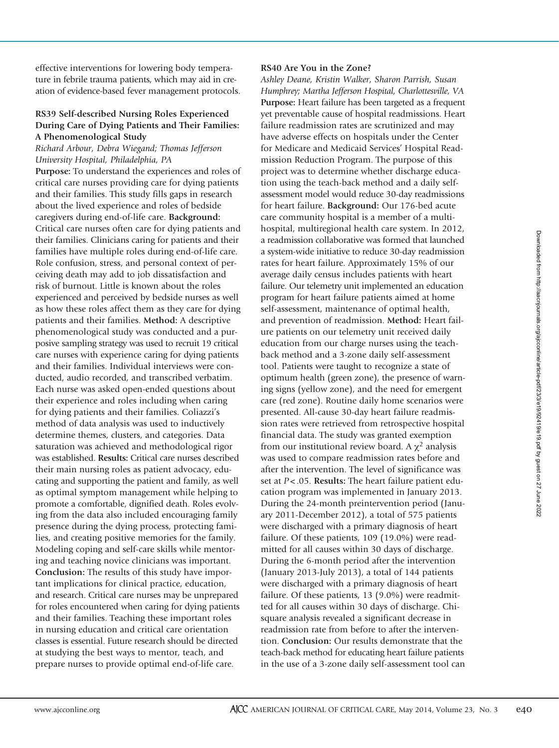effective interventions for lowering body temperature in febrile trauma patients, which may aid in creation of evidence-based fever management protocols.

#### **RS39 Self-described Nursing Roles Experienced During Care of Dying Patients and Their Families: A Phenomenological Study**

*Richard Arbour, Debra Wiegand; Thomas Jefferson University Hospital, Philadelphia, PA*

**Purpose:** To understand the experiences and roles of critical care nurses providing care for dying patients and their families. This study fills gaps in research about the lived experience and roles of bedside caregivers during end-of-life care. **Background:** Critical care nurses often care for dying patients and their families. Clinicians caring for patients and their families have multiple roles during end-of-life care. Role confusion, stress, and personal context of perceiving death may add to job dissatisfaction and risk of burnout. Little is known about the roles experienced and perceived by bedside nurses as well as how these roles affect them as they care for dying patients and their families. **Method:** A descriptive phenomenological study was conducted and a purposive sampling strategy was used to recruit 19 critical care nurses with experience caring for dying patients and their families. Individual interviews were conducted, audio recorded, and transcribed verbatim. Each nurse was asked open-ended questions about their experience and roles including when caring for dying patients and their families. Coliazzi's method of data analysis was used to inductively determine themes, clusters, and categories. Data saturation was achieved and methodological rigor was established. **Results:** Critical care nurses described their main nursing roles as patient advocacy, educating and supporting the patient and family, as well as optimal symptom management while helping to promote a comfortable, dignified death. Roles evolving from the data also included encouraging family presence during the dying process, protecting families, and creating positive memories for the family. Modeling coping and self-care skills while mentoring and teaching novice clinicians was important. **Conclusion:** The results of this study have important implications for clinical practice, education, and research. Critical care nurses may be unprepared for roles encountered when caring for dying patients and their families. Teaching these important roles in nursing education and critical care orientation classes is essential. Future research should be directed at studying the best ways to mentor, teach, and prepare nurses to provide optimal end-of-life care.

#### **RS40 Are You in the Zone?**

*Ashley Deane, Kristin Walker, Sharon Parrish, Susan Humphrey; Martha Jefferson Hospital, Charlottesville, VA* **Purpose:** Heart failure has been targeted as a frequent yet preventable cause of hospital readmissions. Heart failure readmission rates are scrutinized and may have adverse effects on hospitals under the Center for Medicare and Medicaid Services' Hospital Readmission Reduction Program. The purpose of this project was to determine whether discharge education using the teach-back method and a daily selfassessment model would reduce 30-day readmissions for heart failure. **Background:** Our 176-bed acute care community hospital is a member of a multihospital, multiregional health care system. In 2012, a readmission collaborative was formed that launched a system-wide initiative to reduce 30-day readmission rates for heart failure. Approximately 15% of our average daily census includes patients with heart failure. Our telemetry unit implemented an education program for heart failure patients aimed at home self-assessment, maintenance of optimal health, and prevention of readmission. **Method:** Heart failure patients on our telemetry unit received daily education from our charge nurses using the teachback method and a 3-zone daily self-assessment tool. Patients were taught to recognize a state of optimum health (green zone), the presence of warning signs (yellow zone), and the need for emergent care (red zone). Routine daily home scenarios were presented. All-cause 30-day heart failure readmission rates were retrieved from retrospective hospital financial data. The study was granted exemption from our institutional review board. A  $\chi^2$  analysis was used to compare readmission rates before and after the intervention. The level of significance was set at *P* < .05. **Results:** The heart failure patient education program was implemented in January 2013. During the 24-month preintervention period (January 2011-December 2012), a total of 575 patients were discharged with a primary diagnosis of heart failure. Of these patients, 109 (19.0%) were readmitted for all causes within 30 days of discharge. During the 6-month period after the intervention (January 2013-July 2013), a total of 144 patients were discharged with a primary diagnosis of heart failure. Of these patients, 13 (9.0%) were readmitted for all causes within 30 days of discharge. Chisquare analysis revealed a significant decrease in readmission rate from before to after the intervention. **Conclusion:** Our results demonstrate that the teach-back method for educating heart failure patients in the use of a 3-zone daily self-assessment tool can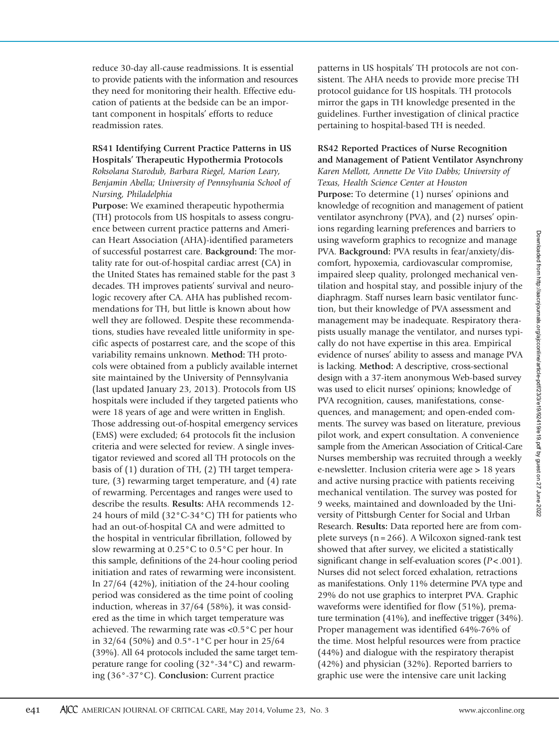reduce 30-day all-cause readmissions. It is essential to provide patients with the information and resources they need for monitoring their health. Effective education of patients at the bedside can be an important component in hospitals' efforts to reduce readmission rates.

# **RS41 Identifying Current Practice Patterns in US Hospitals' Therapeutic Hypothermia Protocols**

*Roksolana Starodub, Barbara Riegel, Marion Leary, Benjamin Abella; University of Pennsylvania School of Nursing, Philadelphia*

**Purpose:** We examined therapeutic hypothermia (TH) protocols from US hospitals to assess congruence between current practice patterns and American Heart Association (AHA)-identified parameters of successful postarrest care. **Background:** The mortality rate for out-of-hospital cardiac arrest (CA) in the United States has remained stable for the past 3 decades. TH improves patients' survival and neurologic recovery after CA. AHA has published recommendations for TH, but little is known about how well they are followed. Despite these recommendations, studies have revealed little uniformity in specific aspects of postarrest care, and the scope of this variability remains unknown. **Method:** TH protocols were obtained from a publicly available internet site maintained by the University of Pennsylvania (last updated January 23, 2013). Protocols from US hospitals were included if they targeted patients who were 18 years of age and were written in English. Those addressing out-of-hospital emergency services (EMS) were excluded; 64 protocols fit the inclusion criteria and were selected for review. A single investigator reviewed and scored all TH protocols on the basis of (1) duration of TH, (2) TH target temperature, (3) rewarming target temperature, and (4) rate of rewarming. Percentages and ranges were used to describe the results. **Results:** AHA recommends 12- 24 hours of mild (32°C-34°C) TH for patients who had an out-of-hospital CA and were admitted to the hospital in ventricular fibrillation, followed by slow rewarming at 0.25°C to 0.5°C per hour. In this sample, definitions of the 24-hour cooling period initiation and rates of rewarming were inconsistent. In 27/64 (42%), initiation of the 24-hour cooling period was considered as the time point of cooling induction, whereas in 37/64 (58%), it was considered as the time in which target temperature was achieved. The rewarming rate was <0.5°C per hour in 32/64 (50%) and 0.5°-1°C per hour in 25/64 (39%). All 64 protocols included the same target temperature range for cooling (32°-34°C) and rewarming (36°-37°C). **Conclusion:** Current practice

patterns in US hospitals' TH protocols are not consistent. The AHA needs to provide more precise TH protocol guidance for US hospitals. TH protocols mirror the gaps in TH knowledge presented in the guidelines. Further investigation of clinical practice pertaining to hospital-based TH is needed.

## **RS42 Reported Practices of Nurse Recognition and Management of Patient Ventilator Asynchrony**

*Karen Mellott, Annette De Vito Dabbs; University of Texas, Health Science Center at Houston* **Purpose:** To determine (1) nurses' opinions and knowledge of recognition and management of patient ventilator asynchrony (PVA), and (2) nurses' opinions regarding learning preferences and barriers to using waveform graphics to recognize and manage PVA. **Background:** PVA results in fear/anxiety/discomfort, hypoxemia, cardiovascular compromise, impaired sleep quality, prolonged mechanical ventilation and hospital stay, and possible injury of the diaphragm. Staff nurses learn basic ventilator function, but their knowledge of PVA assessment and management may be inadequate. Respiratory therapists usually manage the ventilator, and nurses typically do not have expertise in this area. Empirical evidence of nurses' ability to assess and manage PVA is lacking. **Method:** A descriptive, cross-sectional design with a 37-item anonymous Web-based survey was used to elicit nurses' opinions; knowledge of PVA recognition, causes, manifestations, consequences, and management; and open-ended comments. The survey was based on literature, previous pilot work, and expert consultation. A convenience sample from the American Association of Critical-Care Nurses membership was recruited through a weekly e-newsletter. Inclusion criteria were age > 18 years and active nursing practice with patients receiving mechanical ventilation. The survey was posted for 9 weeks, maintained and downloaded by the University of Pittsburgh Center for Social and Urban Research. **Results:** Data reported here are from complete surveys ( $n = 266$ ). A Wilcoxon signed-rank test showed that after survey, we elicited a statistically significant change in self-evaluation scores (*P*< .001). Nurses did not select forced exhalation, retractions as manifestations. Only 11% determine PVA type and 29% do not use graphics to interpret PVA. Graphic waveforms were identified for flow (51%), premature termination (41%), and ineffective trigger (34%). Proper management was identified 64%-76% of the time. Most helpful resources were from practice (44%) and dialogue with the respiratory therapist (42%) and physician (32%). Reported barriers to graphic use were the intensive care unit lacking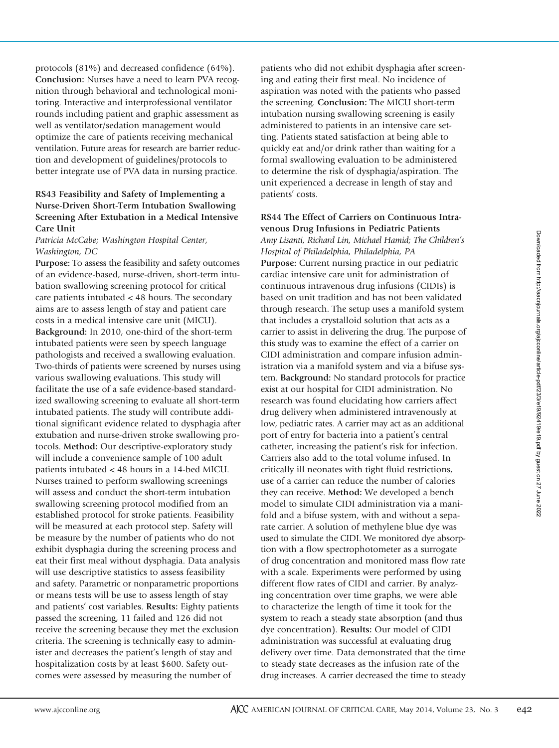protocols (81%) and decreased confidence (64%). **Conclusion:** Nurses have a need to learn PVA recognition through behavioral and technological monitoring. Interactive and interprofessional ventilator rounds including patient and graphic assessment as well as ventilator/sedation management would optimize the care of patients receiving mechanical ventilation. Future areas for research are barrier reduction and development of guidelines/protocols to better integrate use of PVA data in nursing practice.

## **RS43 Feasibility and Safety of Implementing a Nurse-Driven Short-Term Intubation Swallowing Screening After Extubation in a Medical Intensive Care Unit**

*Patricia McCabe; Washington Hospital Center, Washington, DC*

**Purpose:** To assess the feasibility and safety outcomes of an evidence-based, nurse-driven, short-term intubation swallowing screening protocol for critical care patients intubated < 48 hours. The secondary aims are to assess length of stay and patient care costs in a medical intensive care unit (MICU). **Background:** In 2010, one-third of the short-term intubated patients were seen by speech language pathologists and received a swallowing evaluation. Two-thirds of patients were screened by nurses using various swallowing evaluations. This study will facilitate the use of a safe evidence-based standardized swallowing screening to evaluate all short-term intubated patients. The study will contribute additional significant evidence related to dysphagia after extubation and nurse-driven stroke swallowing protocols. **Method:** Our descriptive-exploratory study will include a convenience sample of 100 adult patients intubated < 48 hours in a 14-bed MICU. Nurses trained to perform swallowing screenings will assess and conduct the short-term intubation swallowing screening protocol modified from an established protocol for stroke patients. Feasibility will be measured at each protocol step. Safety will be measure by the number of patients who do not exhibit dysphagia during the screening process and eat their first meal without dysphagia. Data analysis will use descriptive statistics to assess feasibility and safety. Parametric or nonparametric proportions or means tests will be use to assess length of stay and patients' cost variables. **Results:** Eighty patients passed the screening, 11 failed and 126 did not receive the screening because they met the exclusion criteria. The screening is technically easy to administer and decreases the patient's length of stay and hospitalization costs by at least \$600. Safety outcomes were assessed by measuring the number of

patients who did not exhibit dysphagia after screening and eating their first meal. No incidence of aspiration was noted with the patients who passed the screening. **Conclusion:** The MICU short-term intubation nursing swallowing screening is easily administered to patients in an intensive care setting. Patients stated satisfaction at being able to quickly eat and/or drink rather than waiting for a formal swallowing evaluation to be administered to determine the risk of dysphagia/aspiration. The unit experienced a decrease in length of stay and patients' costs.

#### **RS44 The Effect of Carriers on Continuous Intravenous Drug Infusions in Pediatric Patients**

*Amy Lisanti, Richard Lin, Michael Hamid; The Children's Hospital of Philadelphia, Philadelphia, PA* **Purpose:** Current nursing practice in our pediatric cardiac intensive care unit for administration of continuous intravenous drug infusions (CIDIs) is based on unit tradition and has not been validated through research. The setup uses a manifold system that includes a crystalloid solution that acts as a carrier to assist in delivering the drug. The purpose of this study was to examine the effect of a carrier on CIDI administration and compare infusion administration via a manifold system and via a bifuse system. **Background:** No standard protocols for practice exist at our hospital for CIDI administration. No research was found elucidating how carriers affect drug delivery when administered intravenously at low, pediatric rates. A carrier may act as an additional port of entry for bacteria into a patient's central catheter, increasing the patient's risk for infection. Carriers also add to the total volume infused. In critically ill neonates with tight fluid restrictions, use of a carrier can reduce the number of calories they can receive. **Method:** We developed a bench model to simulate CIDI administration via a manifold and a bifuse system, with and without a separate carrier. A solution of methylene blue dye was used to simulate the CIDI. We monitored dye absorption with a flow spectrophotometer as a surrogate of drug concentration and monitored mass flow rate with a scale. Experiments were performed by using different flow rates of CIDI and carrier. By analyzing concentration over time graphs, we were able to characterize the length of time it took for the system to reach a steady state absorption (and thus dye concentration). **Results:** Our model of CIDI administration was successful at evaluating drug delivery over time. Data demonstrated that the time to steady state decreases as the infusion rate of the drug increases. A carrier decreased the time to steady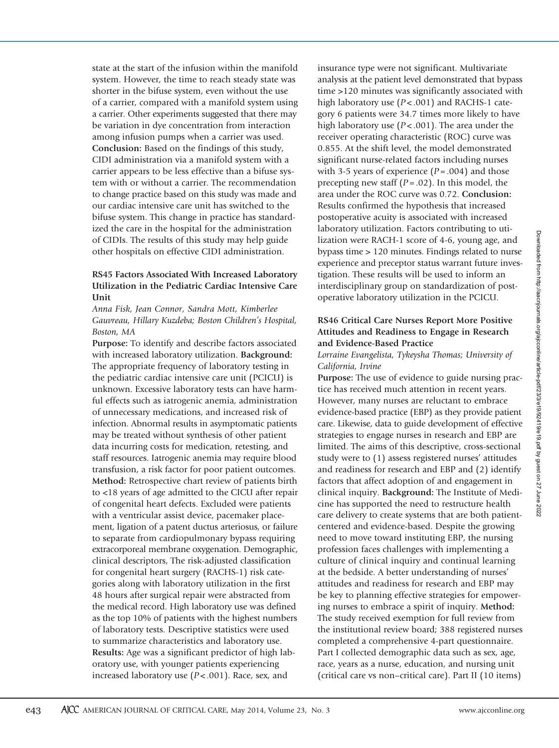state at the start of the infusion within the manifold system. However, the time to reach steady state was shorter in the bifuse system, even without the use of a carrier, compared with a manifold system using a carrier. Other experiments suggested that there may be variation in dye concentration from interaction among infusion pumps when a carrier was used. **Conclusion:** Based on the findings of this study, CIDI administration via a manifold system with a carrier appears to be less effective than a bifuse system with or without a carrier. The recommendation to change practice based on this study was made and our cardiac intensive care unit has switched to the bifuse system. This change in practice has standardized the care in the hospital for the administration of CIDIs. The results of this study may help guide other hospitals on effective CIDI administration.

## **RS45 Factors Associated With Increased Laboratory Utilization in the Pediatric Cardiac Intensive Care Unit**

*Anna Fisk, Jean Connor, Sandra Mott, Kimberlee Gauvreau, Hillary Kuzdeba; Boston Children's Hospital, Boston, MA*

**Purpose:** To identify and describe factors associated with increased laboratory utilization. **Background:** The appropriate frequency of laboratory testing in the pediatric cardiac intensive care unit (PCICU) is unknown. Excessive laboratory tests can have harmful effects such as iatrogenic anemia, administration of unnecessary medications, and increased risk of infection. Abnormal results in asymptomatic patients may be treated without synthesis of other patient data incurring costs for medication, retesting, and staff resources. Iatrogenic anemia may require blood transfusion, a risk factor for poor patient outcomes. **Method:** Retrospective chart review of patients birth to <18 years of age admitted to the CICU after repair of congenital heart defects. Excluded were patients with a ventricular assist device, pacemaker placement, ligation of a patent ductus arteriosus, or failure to separate from cardiopulmonary bypass requiring extracorporeal membrane oxygenation. Demographic, clinical descriptors, The risk-adjusted classification for congenital heart surgery (RACHS-1) risk categories along with laboratory utilization in the first 48 hours after surgical repair were abstracted from the medical record. High laboratory use was defined as the top 10% of patients with the highest numbers of laboratory tests. Descriptive statistics were used to summarize characteristics and laboratory use. **Results:** Age was a significant predictor of high laboratory use, with younger patients experiencing increased laboratory use (*P* < .001). Race, sex, and

insurance type were not significant. Multivariate analysis at the patient level demonstrated that bypass time >120 minutes was significantly associated with high laboratory use ( $P < .001$ ) and RACHS-1 category 6 patients were 34.7 times more likely to have high laboratory use (*P* < .001). The area under the receiver operating characteristic (ROC) curve was 0.855. At the shift level, the model demonstrated significant nurse-related factors including nurses with 3-5 years of experience  $(P = .004)$  and those precepting new staff  $(P=.02)$ . In this model, the area under the ROC curve was 0.72. **Conclusion:** Results confirmed the hypothesis that increased postoperative acuity is associated with increased laboratory utilization. Factors contributing to utilization were RACH-1 score of 4-6, young age, and bypass time > 120 minutes. Findings related to nurse experience and preceptor status warrant future investigation. These results will be used to inform an interdisciplinary group on standardization of postoperative laboratory utilization in the PCICU.

## **RS46 Critical Care Nurses Report More Positive Attitudes and Readiness to Engage in Research and Evidence-Based Practice**

#### *Lorraine Evangelista, Tykeysha Thomas; University of California, Irvine*

**Purpose:** The use of evidence to guide nursing practice has received much attention in recent years. However, many nurses are reluctant to embrace evidence-based practice (EBP) as they provide patient care. Likewise, data to guide development of effective strategies to engage nurses in research and EBP are limited. The aims of this descriptive, cross-sectional study were to (1) assess registered nurses' attitudes and readiness for research and EBP and (2) identify factors that affect adoption of and engagement in clinical inquiry. **Background:** The Institute of Medicine has supported the need to restructure health care delivery to create systems that are both patientcentered and evidence-based. Despite the growing need to move toward instituting EBP, the nursing profession faces challenges with implementing a culture of clinical inquiry and continual learning at the bedside. A better understanding of nurses' attitudes and readiness for research and EBP may be key to planning effective strategies for empowering nurses to embrace a spirit of inquiry. **Method:** The study received exemption for full review from the institutional review board; 388 registered nurses completed a comprehensive 4-part questionnaire. Part I collected demographic data such as sex, age, race, years as a nurse, education, and nursing unit (critical care vs non–critical care). Part II (10 items)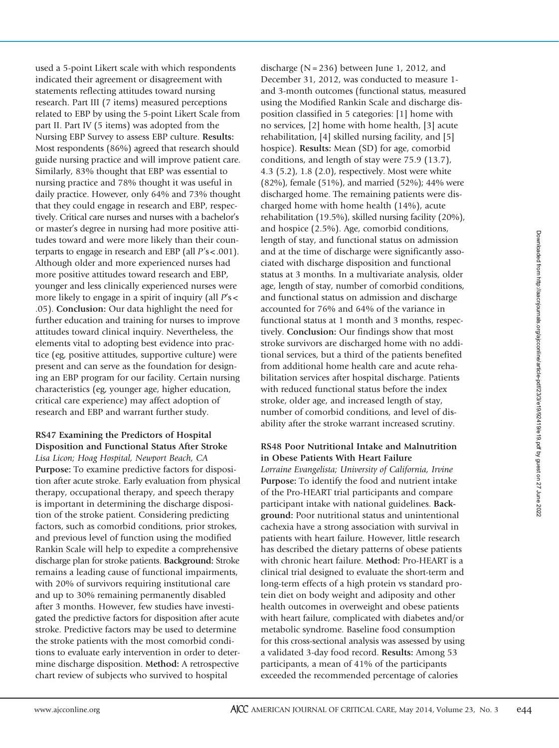used a 5-point Likert scale with which respondents indicated their agreement or disagreement with statements reflecting attitudes toward nursing research. Part III (7 items) measured perceptions related to EBP by using the 5-point Likert Scale from part II. Part IV (5 items) was adopted from the Nursing EBP Survey to assess EBP culture. **Results:** Most respondents (86%) agreed that research should guide nursing practice and will improve patient care. Similarly, 83% thought that EBP was essential to nursing practice and 78% thought it was useful in daily practice. However, only 64% and 73% thought that they could engage in research and EBP, respectively. Critical care nurses and nurses with a bachelor's or master's degree in nursing had more positive attitudes toward and were more likely than their counterparts to engage in research and EBP (all *P*'s<.001). Although older and more experienced nurses had more positive attitudes toward research and EBP, younger and less clinically experienced nurses were more likely to engage in a spirit of inquiry (all *P*'s < .05). **Conclusion:** Our data highlight the need for further education and training for nurses to improve attitudes toward clinical inquiry. Nevertheless, the elements vital to adopting best evidence into practice (eg, positive attitudes, supportive culture) were present and can serve as the foundation for designing an EBP program for our facility. Certain nursing characteristics (eg, younger age, higher education, critical care experience) may affect adoption of research and EBP and warrant further study.

## **RS47 Examining the Predictors of Hospital Disposition and Functional Status After Stroke**

*Lisa Licon; Hoag Hospital, Newport Beach, CA* **Purpose:** To examine predictive factors for disposition after acute stroke. Early evaluation from physical therapy, occupational therapy, and speech therapy is important in determining the discharge disposition of the stroke patient. Considering predicting factors, such as comorbid conditions, prior strokes, and previous level of function using the modified Rankin Scale will help to expedite a comprehensive discharge plan for stroke patients. **Background:** Stroke remains a leading cause of functional impairments, with 20% of survivors requiring institutional care and up to 30% remaining permanently disabled after 3 months. However, few studies have investigated the predictive factors for disposition after acute stroke. Predictive factors may be used to determine the stroke patients with the most comorbid conditions to evaluate early intervention in order to determine discharge disposition. **Method:** A retrospective chart review of subjects who survived to hospital

discharge ( $N = 236$ ) between June 1, 2012, and December 31, 2012, was conducted to measure 1 and 3-month outcomes (functional status, measured using the Modified Rankin Scale and discharge disposition classified in 5 categories: [1] home with no services, [2] home with home health, [3] acute rehabilitation, [4] skilled nursing facility, and [5] hospice). **Results:** Mean (SD) for age, comorbid conditions, and length of stay were 75.9 (13.7), 4.3 (5.2), 1.8 (2.0), respectively. Most were white (82%), female (51%), and married (52%); 44% were discharged home. The remaining patients were discharged home with home health (14%), acute rehabilitation (19.5%), skilled nursing facility (20%), and hospice (2.5%). Age, comorbid conditions, length of stay, and functional status on admission and at the time of discharge were significantly associated with discharge disposition and functional status at 3 months. In a multivariate analysis, older age, length of stay, number of comorbid conditions, and functional status on admission and discharge accounted for 76% and 64% of the variance in functional status at 1 month and 3 months, respectively. **Conclusion:** Our findings show that most stroke survivors are discharged home with no additional services, but a third of the patients benefited from additional home health care and acute rehabilitation services after hospital discharge. Patients with reduced functional status before the index stroke, older age, and increased length of stay, number of comorbid conditions, and level of disability after the stroke warrant increased scrutiny.

## **RS48 Poor Nutritional Intake and Malnutrition in Obese Patients With Heart Failure**

*Lorraine Evangelista; University of California, Irvine* **Purpose:** To identify the food and nutrient intake of the Pro-HEART trial participants and compare participant intake with national guidelines. **Background:** Poor nutritional status and unintentional cachexia have a strong association with survival in patients with heart failure. However, little research has described the dietary patterns of obese patients with chronic heart failure. **Method:** Pro-HEART is a clinical trial designed to evaluate the short-term and long-term effects of a high protein vs standard protein diet on body weight and adiposity and other health outcomes in overweight and obese patients with heart failure, complicated with diabetes and/or metabolic syndrome. Baseline food consumption for this cross-sectional analysis was assessed by using a validated 3-day food record. **Results:** Among 53 participants, a mean of 41% of the participants exceeded the recommended percentage of calories